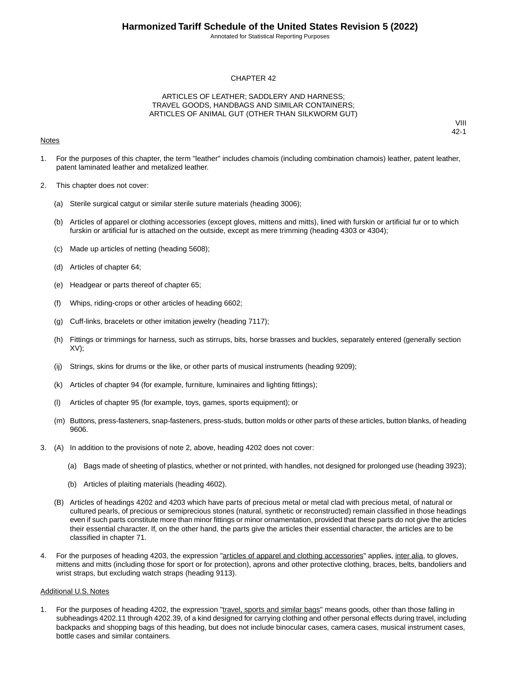Annotated for Statistical Reporting Purposes

#### CHAPTER 42

#### ARTICLES OF LEATHER; SADDLERY AND HARNESS; TRAVEL GOODS, HANDBAGS AND SIMILAR CONTAINERS; ARTICLES OF ANIMAL GUT (OTHER THAN SILKWORM GUT)

#### **Notes**

VIII 42-1

- 1. For the purposes of this chapter, the term "leather" includes chamois (including combination chamois) leather, patent leather, patent laminated leather and metalized leather.
- 2. This chapter does not cover:
	- (a) Sterile surgical catgut or similar sterile suture materials (heading 3006);
	- (b) Articles of apparel or clothing accessories (except gloves, mittens and mitts), lined with furskin or artificial fur or to which furskin or artificial fur is attached on the outside, except as mere trimming (heading 4303 or 4304);
	- (c) Made up articles of netting (heading 5608);
	- (d) Articles of chapter 64;
	- (e) Headgear or parts thereof of chapter 65;
	- (f) Whips, riding-crops or other articles of heading 6602;
	- (g) Cuff-links, bracelets or other imitation jewelry (heading 7117);
	- (h) Fittings or trimmings for harness, such as stirrups, bits, horse brasses and buckles, separately entered (generally section XV);
	- (ij) Strings, skins for drums or the like, or other parts of musical instruments (heading 9209);
	- (k) Articles of chapter 94 (for example, furniture, luminaires and lighting fittings);
	- (l) Articles of chapter 95 (for example, toys, games, sports equipment); or
	- (m) Buttons, press-fasteners, snap-fasteners, press-studs, button molds or other parts of these articles, button blanks, of heading 9606.
- 3. (A) In addition to the provisions of note 2, above, heading 4202 does not cover:
	- (a) Bags made of sheeting of plastics, whether or not printed, with handles, not designed for prolonged use (heading 3923);
	- (b) Articles of plaiting materials (heading 4602).
	- (B) Articles of headings 4202 and 4203 which have parts of precious metal or metal clad with precious metal, of natural or cultured pearls, of precious or semiprecious stones (natural, synthetic or reconstructed) remain classified in those headings even if such parts constitute more than minor fittings or minor ornamentation, provided that these parts do not give the articles their essential character. If, on the other hand, the parts give the articles their essential character, the articles are to be classified in chapter 71.
- 4. For the purposes of heading 4203, the expression "articles of apparel and clothing accessories" applies, inter alia, to gloves, mittens and mitts (including those for sport or for protection), aprons and other protective clothing, braces, belts, bandoliers and wrist straps, but excluding watch straps (heading 9113).

#### Additional U.S. Notes

1. For the purposes of heading 4202, the expression "travel, sports and similar bags" means goods, other than those falling in subheadings 4202.11 through 4202.39, of a kind designed for carrying clothing and other personal effects during travel, including backpacks and shopping bags of this heading, but does not include binocular cases, camera cases, musical instrument cases, bottle cases and similar containers.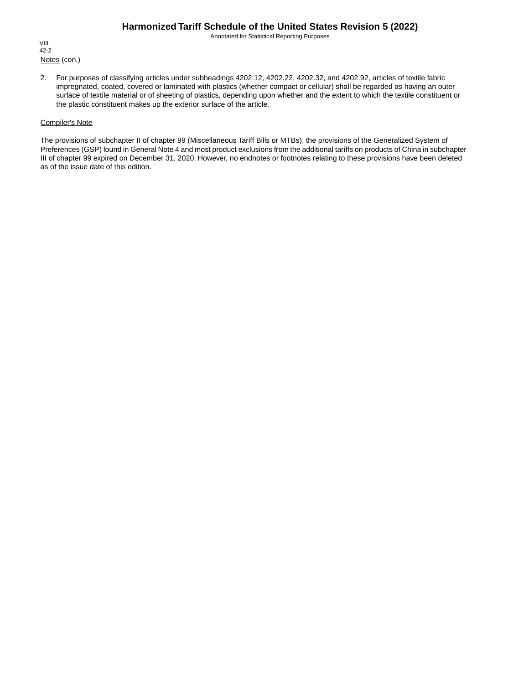Annotated for Statistical Reporting Purposes

Notes (con.) VIII 42-2

2. For purposes of classifying articles under subheadings 4202.12, 4202.22, 4202.32, and 4202.92, articles of textile fabric impregnated, coated, covered or laminated with plastics (whether compact or cellular) shall be regarded as having an outer surface of textile material or of sheeting of plastics, depending upon whether and the extent to which the textile constituent or the plastic constituent makes up the exterior surface of the article.

#### Compiler's Note

The provisions of subchapter II of chapter 99 (Miscellaneous Tariff Bills or MTBs), the provisions of the Generalized System of Preferences (GSP) found in General Note 4 and most product exclusions from the additional tariffs on products of China in subchapter III of chapter 99 expired on December 31, 2020. However, no endnotes or footnotes relating to these provisions have been deleted as of the issue date of this edition.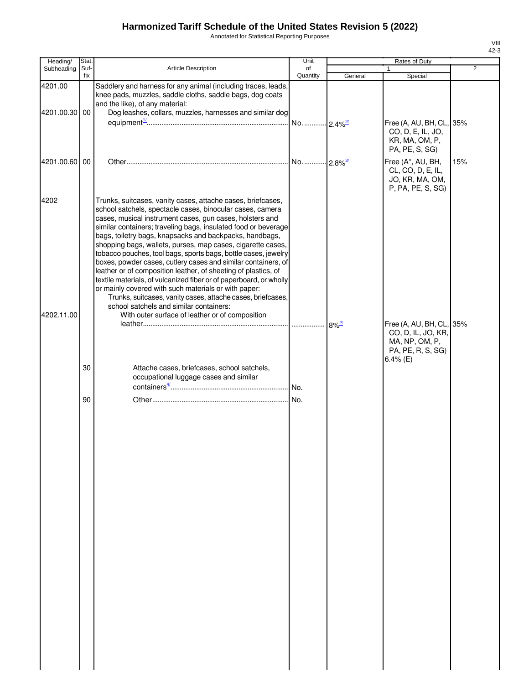Annotated for Statistical Reporting Purposes

| Heading/                 | Stat.       |                                                                                                                                                                                                                                                                                                                                                                                                                                                                                                                                                                                                                                                                                                                                                                                                                                                                                  | Unit                  |                     | Rates of Duty                                                                                     |                |
|--------------------------|-------------|----------------------------------------------------------------------------------------------------------------------------------------------------------------------------------------------------------------------------------------------------------------------------------------------------------------------------------------------------------------------------------------------------------------------------------------------------------------------------------------------------------------------------------------------------------------------------------------------------------------------------------------------------------------------------------------------------------------------------------------------------------------------------------------------------------------------------------------------------------------------------------|-----------------------|---------------------|---------------------------------------------------------------------------------------------------|----------------|
| Subheading               | Suf-<br>fix | <b>Article Description</b>                                                                                                                                                                                                                                                                                                                                                                                                                                                                                                                                                                                                                                                                                                                                                                                                                                                       | of<br>Quantity        | General             | Special                                                                                           | $\overline{2}$ |
| 4201.00<br>4201.00.30 00 |             | Saddlery and harness for any animal (including traces, leads,<br>knee pads, muzzles, saddle cloths, saddle bags, dog coats<br>and the like), of any material:<br>Dog leashes, collars, muzzles, harnesses and similar dog                                                                                                                                                                                                                                                                                                                                                                                                                                                                                                                                                                                                                                                        |                       |                     |                                                                                                   |                |
|                          |             |                                                                                                                                                                                                                                                                                                                                                                                                                                                                                                                                                                                                                                                                                                                                                                                                                                                                                  | No 2.4% <sup>2/</sup> |                     | Free (A, AU, BH, CL, 35%<br>CO, D, E, IL, JO,<br>KR, MA, OM, P,<br>PA, PE, S, SG)                 |                |
| 4201.00.60 00            |             |                                                                                                                                                                                                                                                                                                                                                                                                                                                                                                                                                                                                                                                                                                                                                                                                                                                                                  |                       |                     | Free (A*, AU, BH,<br>CL, CO, D, E, IL,<br>JO, KR, MA, OM,<br>P, PA, PE, S, SG)                    | 15%            |
| 4202<br>4202.11.00       |             | Trunks, suitcases, vanity cases, attache cases, briefcases,<br>school satchels, spectacle cases, binocular cases, camera<br>cases, musical instrument cases, gun cases, holsters and<br>similar containers; traveling bags, insulated food or beverage<br>bags, toiletry bags, knapsacks and backpacks, handbags,<br>shopping bags, wallets, purses, map cases, cigarette cases,<br>tobacco pouches, tool bags, sports bags, bottle cases, jewelry<br>boxes, powder cases, cutlery cases and similar containers, of<br>leather or of composition leather, of sheeting of plastics, of<br>textile materials, of vulcanized fiber or of paperboard, or wholly<br>or mainly covered with such materials or with paper:<br>Trunks, suitcases, vanity cases, attache cases, briefcases,<br>school satchels and similar containers:<br>With outer surface of leather or of composition |                       |                     |                                                                                                   |                |
|                          |             |                                                                                                                                                                                                                                                                                                                                                                                                                                                                                                                                                                                                                                                                                                                                                                                                                                                                                  |                       | $8\%$ <sup>2/</sup> | Free (A, AU, BH, CL, 35%<br>CO, D, IL, JO, KR,<br>MA, NP, OM, P,<br>PA, PE, R, S, SG)<br>6.4% (E) |                |
|                          | 30          | Attache cases, briefcases, school satchels,<br>occupational luggage cases and similar                                                                                                                                                                                                                                                                                                                                                                                                                                                                                                                                                                                                                                                                                                                                                                                            |                       |                     |                                                                                                   |                |
|                          | 90          |                                                                                                                                                                                                                                                                                                                                                                                                                                                                                                                                                                                                                                                                                                                                                                                                                                                                                  |                       |                     |                                                                                                   |                |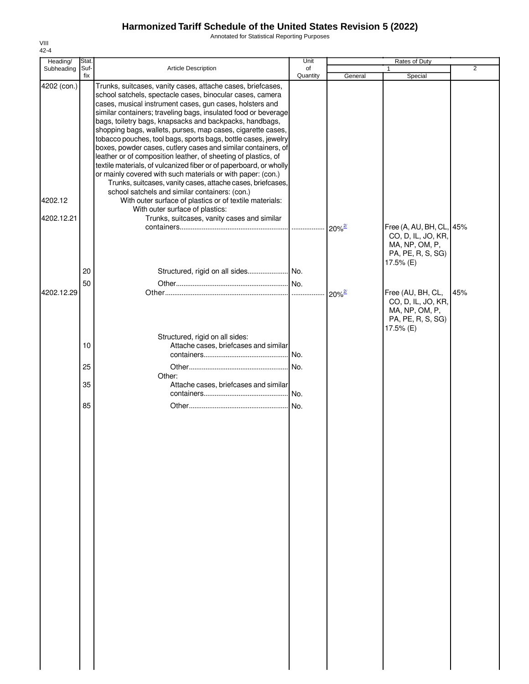Annotated for Statistical Reporting Purposes

| Heading/                             | Stat.       |                                                                                                                                                                                                                                                                                                                                                                                                                                                                                                                                                                                                                                                                                                                                                                                                                                                                                                                                                                                          | Unit           |                      | Rates of Duty                                                                                      |                |
|--------------------------------------|-------------|------------------------------------------------------------------------------------------------------------------------------------------------------------------------------------------------------------------------------------------------------------------------------------------------------------------------------------------------------------------------------------------------------------------------------------------------------------------------------------------------------------------------------------------------------------------------------------------------------------------------------------------------------------------------------------------------------------------------------------------------------------------------------------------------------------------------------------------------------------------------------------------------------------------------------------------------------------------------------------------|----------------|----------------------|----------------------------------------------------------------------------------------------------|----------------|
| Subheading                           | Suf-<br>fix | <b>Article Description</b>                                                                                                                                                                                                                                                                                                                                                                                                                                                                                                                                                                                                                                                                                                                                                                                                                                                                                                                                                               | of<br>Quantity | General              | Special                                                                                            | $\overline{2}$ |
| 4202 (con.)<br>4202.12<br>4202.12.21 |             | Trunks, suitcases, vanity cases, attache cases, briefcases,<br>school satchels, spectacle cases, binocular cases, camera<br>cases, musical instrument cases, gun cases, holsters and<br>similar containers; traveling bags, insulated food or beverage<br>bags, toiletry bags, knapsacks and backpacks, handbags,<br>shopping bags, wallets, purses, map cases, cigarette cases,<br>tobacco pouches, tool bags, sports bags, bottle cases, jewelry<br>boxes, powder cases, cutlery cases and similar containers, of<br>leather or of composition leather, of sheeting of plastics, of<br>textile materials, of vulcanized fiber or of paperboard, or wholly<br>or mainly covered with such materials or with paper: (con.)<br>Trunks, suitcases, vanity cases, attache cases, briefcases,<br>school satchels and similar containers: (con.)<br>With outer surface of plastics or of textile materials:<br>With outer surface of plastics:<br>Trunks, suitcases, vanity cases and similar |                |                      |                                                                                                    |                |
|                                      | 20          |                                                                                                                                                                                                                                                                                                                                                                                                                                                                                                                                                                                                                                                                                                                                                                                                                                                                                                                                                                                          |                | $20%^{27}$           | Free (A, AU, BH, CL, 45%<br>CO, D, IL, JO, KR,<br>MA, NP, OM, P,<br>PA, PE, R, S, SG)<br>17.5% (E) |                |
| 4202.12.29                           | 50          |                                                                                                                                                                                                                                                                                                                                                                                                                                                                                                                                                                                                                                                                                                                                                                                                                                                                                                                                                                                          |                | $20\%$ <sup>2/</sup> | Free (AU, BH, CL,<br>CO, D, IL, JO, KR,<br>MA, NP, OM, P,<br>PA, PE, R, S, SG)<br>17.5% (E)        | 45%            |
|                                      | 10          | Structured, rigid on all sides:<br>Attache cases, briefcases and similar                                                                                                                                                                                                                                                                                                                                                                                                                                                                                                                                                                                                                                                                                                                                                                                                                                                                                                                 | No.            |                      |                                                                                                    |                |
|                                      | 25          | Other:                                                                                                                                                                                                                                                                                                                                                                                                                                                                                                                                                                                                                                                                                                                                                                                                                                                                                                                                                                                   | No.            |                      |                                                                                                    |                |
|                                      | 35          | Attache cases, briefcases and similar                                                                                                                                                                                                                                                                                                                                                                                                                                                                                                                                                                                                                                                                                                                                                                                                                                                                                                                                                    |                |                      |                                                                                                    |                |
|                                      | 85          |                                                                                                                                                                                                                                                                                                                                                                                                                                                                                                                                                                                                                                                                                                                                                                                                                                                                                                                                                                                          |                |                      |                                                                                                    |                |
|                                      |             |                                                                                                                                                                                                                                                                                                                                                                                                                                                                                                                                                                                                                                                                                                                                                                                                                                                                                                                                                                                          |                |                      |                                                                                                    |                |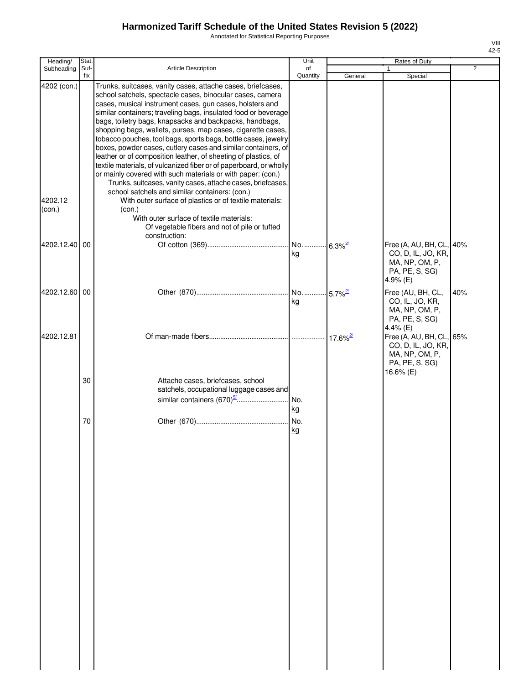Annotated for Statistical Reporting Purposes

| Heading/                         | Stat.       |                                                                                                                                                                                                                                                                                                                                                                                                                                                                                                                                                                                                                                                                                                                                                                                                                                                                                                                                                              | Unit                        |         | Rates of Duty                                                                                  |                |
|----------------------------------|-------------|--------------------------------------------------------------------------------------------------------------------------------------------------------------------------------------------------------------------------------------------------------------------------------------------------------------------------------------------------------------------------------------------------------------------------------------------------------------------------------------------------------------------------------------------------------------------------------------------------------------------------------------------------------------------------------------------------------------------------------------------------------------------------------------------------------------------------------------------------------------------------------------------------------------------------------------------------------------|-----------------------------|---------|------------------------------------------------------------------------------------------------|----------------|
| Subheading                       | Suf-<br>fix | <b>Article Description</b>                                                                                                                                                                                                                                                                                                                                                                                                                                                                                                                                                                                                                                                                                                                                                                                                                                                                                                                                   | of<br>Quantity              | General | Special                                                                                        | $\overline{2}$ |
| 4202 (con.)<br>4202.12<br>(con.) |             | Trunks, suitcases, vanity cases, attache cases, briefcases,<br>school satchels, spectacle cases, binocular cases, camera<br>cases, musical instrument cases, gun cases, holsters and<br>similar containers; traveling bags, insulated food or beverage<br>bags, toiletry bags, knapsacks and backpacks, handbags,<br>shopping bags, wallets, purses, map cases, cigarette cases,<br>tobacco pouches, tool bags, sports bags, bottle cases, jewelry<br>boxes, powder cases, cutlery cases and similar containers, of<br>leather or of composition leather, of sheeting of plastics, of<br>textile materials, of vulcanized fiber or of paperboard, or wholly<br>or mainly covered with such materials or with paper: (con.)<br>Trunks, suitcases, vanity cases, attache cases, briefcases,<br>school satchels and similar containers: (con.)<br>With outer surface of plastics or of textile materials:<br>(con.)<br>With outer surface of textile materials: |                             |         |                                                                                                |                |
| 4202.12.40 00                    |             | Of vegetable fibers and not of pile or tufted<br>construction:                                                                                                                                                                                                                                                                                                                                                                                                                                                                                                                                                                                                                                                                                                                                                                                                                                                                                               | No 6.3% <sup>2/</sup><br>kg |         | Free (A, AU, BH, CL, 40%<br>CO, D, IL, JO, KR,<br>MA, NP, OM, P,<br>PA, PE, S, SG)<br>4.9% (E) |                |
| 4202.12.60 00                    |             |                                                                                                                                                                                                                                                                                                                                                                                                                                                                                                                                                                                                                                                                                                                                                                                                                                                                                                                                                              | No 5.7% <sup>2/</sup><br>kg |         | Free (AU, BH, CL,<br>CO, IL, JO, KR,<br>MA, NP, OM, P,<br>PA, PE, S, SG)                       | 40%            |
| 4202.12.81                       |             |                                                                                                                                                                                                                                                                                                                                                                                                                                                                                                                                                                                                                                                                                                                                                                                                                                                                                                                                                              |                             |         | 4.4% (E)<br>Free (A, AU, BH, CL, 65%<br>CO, D, IL, JO, KR,<br>MA, NP, OM, P,<br>PA, PE, S, SG) |                |
|                                  | 30          | Attache cases, briefcases, school<br>satchels, occupational luggage cases and                                                                                                                                                                                                                                                                                                                                                                                                                                                                                                                                                                                                                                                                                                                                                                                                                                                                                | No.<br>kg                   |         | 16.6% (E)                                                                                      |                |
|                                  | 70          |                                                                                                                                                                                                                                                                                                                                                                                                                                                                                                                                                                                                                                                                                                                                                                                                                                                                                                                                                              | No.<br>kg                   |         |                                                                                                |                |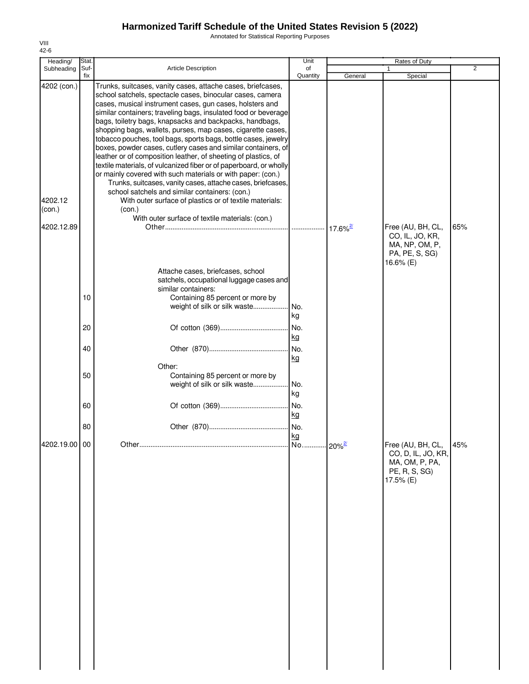Annotated for Statistical Reporting Purposes

| Heading/                         | Stat.       |                                                                                                                                                                                                                                                                                                                                                                                                                                                                                                                                                                                                                                                                                                                                                                                                                                                                                                                                                                     | Unit            |         | Rates of Duty                                                                           |     |
|----------------------------------|-------------|---------------------------------------------------------------------------------------------------------------------------------------------------------------------------------------------------------------------------------------------------------------------------------------------------------------------------------------------------------------------------------------------------------------------------------------------------------------------------------------------------------------------------------------------------------------------------------------------------------------------------------------------------------------------------------------------------------------------------------------------------------------------------------------------------------------------------------------------------------------------------------------------------------------------------------------------------------------------|-----------------|---------|-----------------------------------------------------------------------------------------|-----|
| Subheading                       | Suf-<br>fix | <b>Article Description</b>                                                                                                                                                                                                                                                                                                                                                                                                                                                                                                                                                                                                                                                                                                                                                                                                                                                                                                                                          | of<br>Quantity  | General | 1<br>Special                                                                            | 2   |
| 4202 (con.)<br>4202.12<br>(con.) |             | Trunks, suitcases, vanity cases, attache cases, briefcases,<br>school satchels, spectacle cases, binocular cases, camera<br>cases, musical instrument cases, gun cases, holsters and<br>similar containers; traveling bags, insulated food or beverage<br>bags, toiletry bags, knapsacks and backpacks, handbags,<br>shopping bags, wallets, purses, map cases, cigarette cases,<br>tobacco pouches, tool bags, sports bags, bottle cases, jewelry<br>boxes, powder cases, cutlery cases and similar containers, of<br>leather or of composition leather, of sheeting of plastics, of<br>textile materials, of vulcanized fiber or of paperboard, or wholly<br>or mainly covered with such materials or with paper: (con.)<br>Trunks, suitcases, vanity cases, attache cases, briefcases,<br>school satchels and similar containers: (con.)<br>With outer surface of plastics or of textile materials:<br>(con.)<br>With outer surface of textile materials: (con.) |                 |         |                                                                                         |     |
| 4202.12.89                       | 10          | Attache cases, briefcases, school<br>satchels, occupational luggage cases and<br>similar containers:<br>Containing 85 percent or more by<br>weight of silk or silk waste                                                                                                                                                                                                                                                                                                                                                                                                                                                                                                                                                                                                                                                                                                                                                                                            | No.<br>kg       |         | Free (AU, BH, CL,<br>CO, IL, JO, KR,<br>MA, NP, OM, P,<br>PA, PE, S, SG)<br>16.6% (E)   | 65% |
|                                  | 20          |                                                                                                                                                                                                                                                                                                                                                                                                                                                                                                                                                                                                                                                                                                                                                                                                                                                                                                                                                                     | No.             |         |                                                                                         |     |
|                                  | 40          |                                                                                                                                                                                                                                                                                                                                                                                                                                                                                                                                                                                                                                                                                                                                                                                                                                                                                                                                                                     | kg<br>No.       |         |                                                                                         |     |
|                                  | 50          | Other:<br>Containing 85 percent or more by<br>weight of silk or silk waste                                                                                                                                                                                                                                                                                                                                                                                                                                                                                                                                                                                                                                                                                                                                                                                                                                                                                          | kg<br>No.<br>kg |         |                                                                                         |     |
|                                  | 60          |                                                                                                                                                                                                                                                                                                                                                                                                                                                                                                                                                                                                                                                                                                                                                                                                                                                                                                                                                                     | No.<br>kg       |         |                                                                                         |     |
|                                  | 80          |                                                                                                                                                                                                                                                                                                                                                                                                                                                                                                                                                                                                                                                                                                                                                                                                                                                                                                                                                                     | No.<br>kg       |         |                                                                                         |     |
| 4202.19.00 00                    |             |                                                                                                                                                                                                                                                                                                                                                                                                                                                                                                                                                                                                                                                                                                                                                                                                                                                                                                                                                                     |                 |         | Free (AU, BH, CL,<br>CO, D, IL, JO, KR,<br>MA, OM, P, PA,<br>PE, R, S, SG)<br>17.5% (E) | 45% |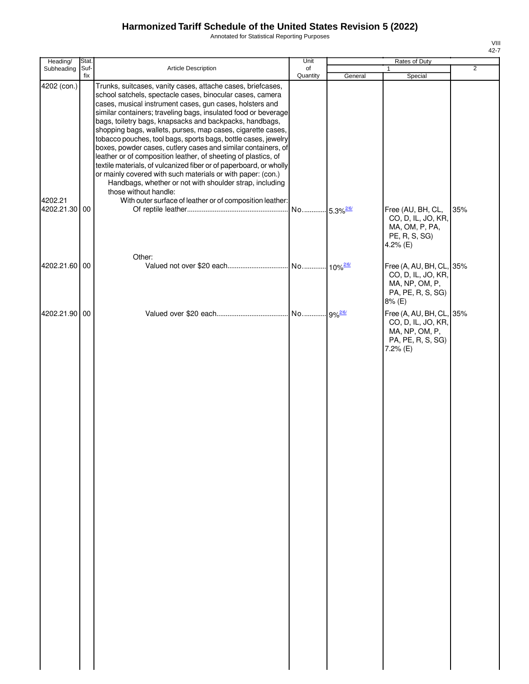Annotated for Statistical Reporting Purposes

| Suf-<br>Article Description<br>2<br>Subheading<br>of<br>fix<br>Quantity<br>Special<br>General<br>4202 (con.)<br>Trunks, suitcases, vanity cases, attache cases, briefcases,<br>school satchels, spectacle cases, binocular cases, camera<br>cases, musical instrument cases, gun cases, holsters and<br>similar containers; traveling bags, insulated food or beverage<br>bags, toiletry bags, knapsacks and backpacks, handbags,<br>shopping bags, wallets, purses, map cases, cigarette cases,<br>tobacco pouches, tool bags, sports bags, bottle cases, jewelry<br>boxes, powder cases, cutlery cases and similar containers, of<br>leather or of composition leather, of sheeting of plastics, of<br>textile materials, of vulcanized fiber or of paperboard, or wholly<br>or mainly covered with such materials or with paper: (con.)<br>Handbags, whether or not with shoulder strap, including<br>those without handle:<br>4202.21<br>With outer surface of leather or of composition leather:<br>35%<br>4202.21.30 00<br>Free (AU, BH, CL,<br>CO, D, IL, JO, KR,<br>MA, OM, P, PA,<br>PE, R, S, SG)<br>4.2% $(E)$<br>Other:<br>4202.21.60 00<br>Free (A, AU, BH, CL, 35%<br>CO, D, IL, JO, KR,<br>MA, NP, OM, P,<br>PA, PE, R, S, SG)<br>8% (E)<br>4202.21.90 00<br>Free (A, AU, BH, CL, 35%<br>CO, D, IL, JO, KR,<br>MA, NP, OM, P,<br>PA, PE, R, S, SG)<br>7.2% (E) | Heading/ | Stat. | Unit | Rates of Duty |  |
|-------------------------------------------------------------------------------------------------------------------------------------------------------------------------------------------------------------------------------------------------------------------------------------------------------------------------------------------------------------------------------------------------------------------------------------------------------------------------------------------------------------------------------------------------------------------------------------------------------------------------------------------------------------------------------------------------------------------------------------------------------------------------------------------------------------------------------------------------------------------------------------------------------------------------------------------------------------------------------------------------------------------------------------------------------------------------------------------------------------------------------------------------------------------------------------------------------------------------------------------------------------------------------------------------------------------------------------------------------------------------------|----------|-------|------|---------------|--|
|                                                                                                                                                                                                                                                                                                                                                                                                                                                                                                                                                                                                                                                                                                                                                                                                                                                                                                                                                                                                                                                                                                                                                                                                                                                                                                                                                                               |          |       |      |               |  |
|                                                                                                                                                                                                                                                                                                                                                                                                                                                                                                                                                                                                                                                                                                                                                                                                                                                                                                                                                                                                                                                                                                                                                                                                                                                                                                                                                                               |          |       |      |               |  |
|                                                                                                                                                                                                                                                                                                                                                                                                                                                                                                                                                                                                                                                                                                                                                                                                                                                                                                                                                                                                                                                                                                                                                                                                                                                                                                                                                                               |          |       |      |               |  |
|                                                                                                                                                                                                                                                                                                                                                                                                                                                                                                                                                                                                                                                                                                                                                                                                                                                                                                                                                                                                                                                                                                                                                                                                                                                                                                                                                                               |          |       |      |               |  |
|                                                                                                                                                                                                                                                                                                                                                                                                                                                                                                                                                                                                                                                                                                                                                                                                                                                                                                                                                                                                                                                                                                                                                                                                                                                                                                                                                                               |          |       |      |               |  |
|                                                                                                                                                                                                                                                                                                                                                                                                                                                                                                                                                                                                                                                                                                                                                                                                                                                                                                                                                                                                                                                                                                                                                                                                                                                                                                                                                                               |          |       |      |               |  |
|                                                                                                                                                                                                                                                                                                                                                                                                                                                                                                                                                                                                                                                                                                                                                                                                                                                                                                                                                                                                                                                                                                                                                                                                                                                                                                                                                                               |          |       |      |               |  |
|                                                                                                                                                                                                                                                                                                                                                                                                                                                                                                                                                                                                                                                                                                                                                                                                                                                                                                                                                                                                                                                                                                                                                                                                                                                                                                                                                                               |          |       |      |               |  |
|                                                                                                                                                                                                                                                                                                                                                                                                                                                                                                                                                                                                                                                                                                                                                                                                                                                                                                                                                                                                                                                                                                                                                                                                                                                                                                                                                                               |          |       |      |               |  |
|                                                                                                                                                                                                                                                                                                                                                                                                                                                                                                                                                                                                                                                                                                                                                                                                                                                                                                                                                                                                                                                                                                                                                                                                                                                                                                                                                                               |          |       |      |               |  |
|                                                                                                                                                                                                                                                                                                                                                                                                                                                                                                                                                                                                                                                                                                                                                                                                                                                                                                                                                                                                                                                                                                                                                                                                                                                                                                                                                                               |          |       |      |               |  |
|                                                                                                                                                                                                                                                                                                                                                                                                                                                                                                                                                                                                                                                                                                                                                                                                                                                                                                                                                                                                                                                                                                                                                                                                                                                                                                                                                                               |          |       |      |               |  |
|                                                                                                                                                                                                                                                                                                                                                                                                                                                                                                                                                                                                                                                                                                                                                                                                                                                                                                                                                                                                                                                                                                                                                                                                                                                                                                                                                                               |          |       |      |               |  |
|                                                                                                                                                                                                                                                                                                                                                                                                                                                                                                                                                                                                                                                                                                                                                                                                                                                                                                                                                                                                                                                                                                                                                                                                                                                                                                                                                                               |          |       |      |               |  |
|                                                                                                                                                                                                                                                                                                                                                                                                                                                                                                                                                                                                                                                                                                                                                                                                                                                                                                                                                                                                                                                                                                                                                                                                                                                                                                                                                                               |          |       |      |               |  |
|                                                                                                                                                                                                                                                                                                                                                                                                                                                                                                                                                                                                                                                                                                                                                                                                                                                                                                                                                                                                                                                                                                                                                                                                                                                                                                                                                                               |          |       |      |               |  |
|                                                                                                                                                                                                                                                                                                                                                                                                                                                                                                                                                                                                                                                                                                                                                                                                                                                                                                                                                                                                                                                                                                                                                                                                                                                                                                                                                                               |          |       |      |               |  |
|                                                                                                                                                                                                                                                                                                                                                                                                                                                                                                                                                                                                                                                                                                                                                                                                                                                                                                                                                                                                                                                                                                                                                                                                                                                                                                                                                                               |          |       |      |               |  |
|                                                                                                                                                                                                                                                                                                                                                                                                                                                                                                                                                                                                                                                                                                                                                                                                                                                                                                                                                                                                                                                                                                                                                                                                                                                                                                                                                                               |          |       |      |               |  |
|                                                                                                                                                                                                                                                                                                                                                                                                                                                                                                                                                                                                                                                                                                                                                                                                                                                                                                                                                                                                                                                                                                                                                                                                                                                                                                                                                                               |          |       |      |               |  |
|                                                                                                                                                                                                                                                                                                                                                                                                                                                                                                                                                                                                                                                                                                                                                                                                                                                                                                                                                                                                                                                                                                                                                                                                                                                                                                                                                                               |          |       |      |               |  |
|                                                                                                                                                                                                                                                                                                                                                                                                                                                                                                                                                                                                                                                                                                                                                                                                                                                                                                                                                                                                                                                                                                                                                                                                                                                                                                                                                                               |          |       |      |               |  |
|                                                                                                                                                                                                                                                                                                                                                                                                                                                                                                                                                                                                                                                                                                                                                                                                                                                                                                                                                                                                                                                                                                                                                                                                                                                                                                                                                                               |          |       |      |               |  |
|                                                                                                                                                                                                                                                                                                                                                                                                                                                                                                                                                                                                                                                                                                                                                                                                                                                                                                                                                                                                                                                                                                                                                                                                                                                                                                                                                                               |          |       |      |               |  |
|                                                                                                                                                                                                                                                                                                                                                                                                                                                                                                                                                                                                                                                                                                                                                                                                                                                                                                                                                                                                                                                                                                                                                                                                                                                                                                                                                                               |          |       |      |               |  |
|                                                                                                                                                                                                                                                                                                                                                                                                                                                                                                                                                                                                                                                                                                                                                                                                                                                                                                                                                                                                                                                                                                                                                                                                                                                                                                                                                                               |          |       |      |               |  |
|                                                                                                                                                                                                                                                                                                                                                                                                                                                                                                                                                                                                                                                                                                                                                                                                                                                                                                                                                                                                                                                                                                                                                                                                                                                                                                                                                                               |          |       |      |               |  |
|                                                                                                                                                                                                                                                                                                                                                                                                                                                                                                                                                                                                                                                                                                                                                                                                                                                                                                                                                                                                                                                                                                                                                                                                                                                                                                                                                                               |          |       |      |               |  |
|                                                                                                                                                                                                                                                                                                                                                                                                                                                                                                                                                                                                                                                                                                                                                                                                                                                                                                                                                                                                                                                                                                                                                                                                                                                                                                                                                                               |          |       |      |               |  |
|                                                                                                                                                                                                                                                                                                                                                                                                                                                                                                                                                                                                                                                                                                                                                                                                                                                                                                                                                                                                                                                                                                                                                                                                                                                                                                                                                                               |          |       |      |               |  |
|                                                                                                                                                                                                                                                                                                                                                                                                                                                                                                                                                                                                                                                                                                                                                                                                                                                                                                                                                                                                                                                                                                                                                                                                                                                                                                                                                                               |          |       |      |               |  |
|                                                                                                                                                                                                                                                                                                                                                                                                                                                                                                                                                                                                                                                                                                                                                                                                                                                                                                                                                                                                                                                                                                                                                                                                                                                                                                                                                                               |          |       |      |               |  |
|                                                                                                                                                                                                                                                                                                                                                                                                                                                                                                                                                                                                                                                                                                                                                                                                                                                                                                                                                                                                                                                                                                                                                                                                                                                                                                                                                                               |          |       |      |               |  |
|                                                                                                                                                                                                                                                                                                                                                                                                                                                                                                                                                                                                                                                                                                                                                                                                                                                                                                                                                                                                                                                                                                                                                                                                                                                                                                                                                                               |          |       |      |               |  |
|                                                                                                                                                                                                                                                                                                                                                                                                                                                                                                                                                                                                                                                                                                                                                                                                                                                                                                                                                                                                                                                                                                                                                                                                                                                                                                                                                                               |          |       |      |               |  |
|                                                                                                                                                                                                                                                                                                                                                                                                                                                                                                                                                                                                                                                                                                                                                                                                                                                                                                                                                                                                                                                                                                                                                                                                                                                                                                                                                                               |          |       |      |               |  |
|                                                                                                                                                                                                                                                                                                                                                                                                                                                                                                                                                                                                                                                                                                                                                                                                                                                                                                                                                                                                                                                                                                                                                                                                                                                                                                                                                                               |          |       |      |               |  |
|                                                                                                                                                                                                                                                                                                                                                                                                                                                                                                                                                                                                                                                                                                                                                                                                                                                                                                                                                                                                                                                                                                                                                                                                                                                                                                                                                                               |          |       |      |               |  |
|                                                                                                                                                                                                                                                                                                                                                                                                                                                                                                                                                                                                                                                                                                                                                                                                                                                                                                                                                                                                                                                                                                                                                                                                                                                                                                                                                                               |          |       |      |               |  |
|                                                                                                                                                                                                                                                                                                                                                                                                                                                                                                                                                                                                                                                                                                                                                                                                                                                                                                                                                                                                                                                                                                                                                                                                                                                                                                                                                                               |          |       |      |               |  |
|                                                                                                                                                                                                                                                                                                                                                                                                                                                                                                                                                                                                                                                                                                                                                                                                                                                                                                                                                                                                                                                                                                                                                                                                                                                                                                                                                                               |          |       |      |               |  |
|                                                                                                                                                                                                                                                                                                                                                                                                                                                                                                                                                                                                                                                                                                                                                                                                                                                                                                                                                                                                                                                                                                                                                                                                                                                                                                                                                                               |          |       |      |               |  |
|                                                                                                                                                                                                                                                                                                                                                                                                                                                                                                                                                                                                                                                                                                                                                                                                                                                                                                                                                                                                                                                                                                                                                                                                                                                                                                                                                                               |          |       |      |               |  |
|                                                                                                                                                                                                                                                                                                                                                                                                                                                                                                                                                                                                                                                                                                                                                                                                                                                                                                                                                                                                                                                                                                                                                                                                                                                                                                                                                                               |          |       |      |               |  |
|                                                                                                                                                                                                                                                                                                                                                                                                                                                                                                                                                                                                                                                                                                                                                                                                                                                                                                                                                                                                                                                                                                                                                                                                                                                                                                                                                                               |          |       |      |               |  |
|                                                                                                                                                                                                                                                                                                                                                                                                                                                                                                                                                                                                                                                                                                                                                                                                                                                                                                                                                                                                                                                                                                                                                                                                                                                                                                                                                                               |          |       |      |               |  |
|                                                                                                                                                                                                                                                                                                                                                                                                                                                                                                                                                                                                                                                                                                                                                                                                                                                                                                                                                                                                                                                                                                                                                                                                                                                                                                                                                                               |          |       |      |               |  |
|                                                                                                                                                                                                                                                                                                                                                                                                                                                                                                                                                                                                                                                                                                                                                                                                                                                                                                                                                                                                                                                                                                                                                                                                                                                                                                                                                                               |          |       |      |               |  |
|                                                                                                                                                                                                                                                                                                                                                                                                                                                                                                                                                                                                                                                                                                                                                                                                                                                                                                                                                                                                                                                                                                                                                                                                                                                                                                                                                                               |          |       |      |               |  |
|                                                                                                                                                                                                                                                                                                                                                                                                                                                                                                                                                                                                                                                                                                                                                                                                                                                                                                                                                                                                                                                                                                                                                                                                                                                                                                                                                                               |          |       |      |               |  |
|                                                                                                                                                                                                                                                                                                                                                                                                                                                                                                                                                                                                                                                                                                                                                                                                                                                                                                                                                                                                                                                                                                                                                                                                                                                                                                                                                                               |          |       |      |               |  |
|                                                                                                                                                                                                                                                                                                                                                                                                                                                                                                                                                                                                                                                                                                                                                                                                                                                                                                                                                                                                                                                                                                                                                                                                                                                                                                                                                                               |          |       |      |               |  |
|                                                                                                                                                                                                                                                                                                                                                                                                                                                                                                                                                                                                                                                                                                                                                                                                                                                                                                                                                                                                                                                                                                                                                                                                                                                                                                                                                                               |          |       |      |               |  |
|                                                                                                                                                                                                                                                                                                                                                                                                                                                                                                                                                                                                                                                                                                                                                                                                                                                                                                                                                                                                                                                                                                                                                                                                                                                                                                                                                                               |          |       |      |               |  |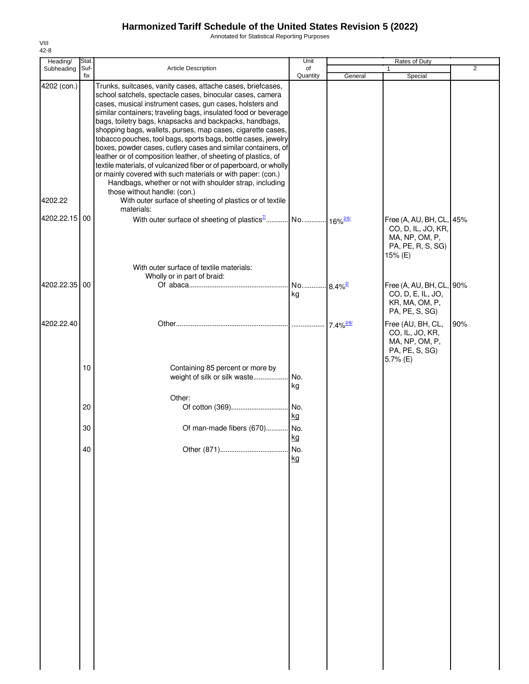Annotated for Statistical Reporting Purposes

| Heading/               | Stat.                |                                                                                                                                                                                                                                                                                                                                                                                                                                                                                                                                                                                                                                                                                                                                                                                                                                                                                   | Unit                                      |                         | Rates of Duty                                                                                   |                |
|------------------------|----------------------|-----------------------------------------------------------------------------------------------------------------------------------------------------------------------------------------------------------------------------------------------------------------------------------------------------------------------------------------------------------------------------------------------------------------------------------------------------------------------------------------------------------------------------------------------------------------------------------------------------------------------------------------------------------------------------------------------------------------------------------------------------------------------------------------------------------------------------------------------------------------------------------|-------------------------------------------|-------------------------|-------------------------------------------------------------------------------------------------|----------------|
| Subheading             | Suf-<br>fix          | Article Description                                                                                                                                                                                                                                                                                                                                                                                                                                                                                                                                                                                                                                                                                                                                                                                                                                                               | of<br>Quantity                            | General                 | Special                                                                                         | $\overline{2}$ |
| 4202 (con.)<br>4202.22 |                      | Trunks, suitcases, vanity cases, attache cases, briefcases,<br>school satchels, spectacle cases, binocular cases, camera<br>cases, musical instrument cases, gun cases, holsters and<br>similar containers; traveling bags, insulated food or beverage<br>bags, toiletry bags, knapsacks and backpacks, handbags,<br>shopping bags, wallets, purses, map cases, cigarette cases,<br>tobacco pouches, tool bags, sports bags, bottle cases, jewelry<br>boxes, powder cases, cutlery cases and similar containers, of<br>leather or of composition leather, of sheeting of plastics, of<br>textile materials, of vulcanized fiber or of paperboard, or wholly<br>or mainly covered with such materials or with paper: (con.)<br>Handbags, whether or not with shoulder strap, including<br>those without handle: (con.)<br>With outer surface of sheeting of plastics or of textile |                                           |                         |                                                                                                 |                |
| 4202.22.15 00          |                      | materials:                                                                                                                                                                                                                                                                                                                                                                                                                                                                                                                                                                                                                                                                                                                                                                                                                                                                        |                                           |                         | Free (A, AU, BH, CL, 45%<br>CO, D, IL, JO, KR,                                                  |                |
| 4202.22.35             | 00                   | With outer surface of textile materials:<br>Wholly or in part of braid:                                                                                                                                                                                                                                                                                                                                                                                                                                                                                                                                                                                                                                                                                                                                                                                                           | kg                                        |                         | MA, NP, OM, P,<br>PA, PE, R, S, SG)<br>15% (E)<br>Free (A, AU, BH, CL, 90%<br>CO, D, E, IL, JO, |                |
|                        |                      |                                                                                                                                                                                                                                                                                                                                                                                                                                                                                                                                                                                                                                                                                                                                                                                                                                                                                   |                                           |                         | KR, MA, OM, P,<br>PA, PE, S, SG)                                                                |                |
| 4202.22.40             | 10<br>20<br>30<br>40 | Containing 85 percent or more by<br>weight of silk or silk waste<br>Other:<br>Of man-made fibers (670) No.<br>Other (871)                                                                                                                                                                                                                                                                                                                                                                                                                                                                                                                                                                                                                                                                                                                                                         | No.<br>kg<br>kg<br><u>kg</u><br>No.<br>kg | $7.4\%$ <sup>2/6/</sup> | Free (AU, BH, CL,<br>CO, IL, JO, KR,<br>MA, NP, OM, P,<br>PA, PE, S, SG)<br>5.7% (E)            | 90%            |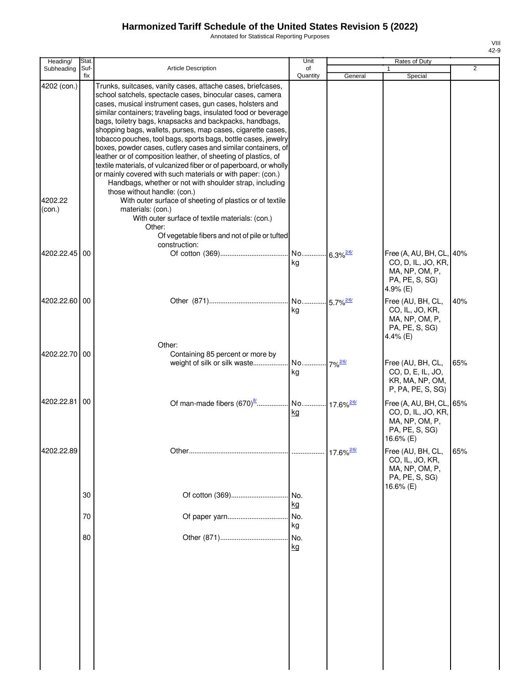Annotated for Statistical Reporting Purposes

| Heading/          | Stat.       |                                                                                                                                                                                                                                                                                                                                                                                                                                                                                                                                                                                                                                                                                                                                                                                                                       | Unit                          |                       | Rates of Duty                                                                                   |     |
|-------------------|-------------|-----------------------------------------------------------------------------------------------------------------------------------------------------------------------------------------------------------------------------------------------------------------------------------------------------------------------------------------------------------------------------------------------------------------------------------------------------------------------------------------------------------------------------------------------------------------------------------------------------------------------------------------------------------------------------------------------------------------------------------------------------------------------------------------------------------------------|-------------------------------|-----------------------|-------------------------------------------------------------------------------------------------|-----|
| Subheading        | Suf-<br>fix | <b>Article Description</b>                                                                                                                                                                                                                                                                                                                                                                                                                                                                                                                                                                                                                                                                                                                                                                                            | of<br>Quantity                | General               | Special                                                                                         | 2   |
| 4202 (con.)       |             | Trunks, suitcases, vanity cases, attache cases, briefcases,<br>school satchels, spectacle cases, binocular cases, camera<br>cases, musical instrument cases, gun cases, holsters and<br>similar containers; traveling bags, insulated food or beverage<br>bags, toiletry bags, knapsacks and backpacks, handbags,<br>shopping bags, wallets, purses, map cases, cigarette cases,<br>tobacco pouches, tool bags, sports bags, bottle cases, jewelry<br>boxes, powder cases, cutlery cases and similar containers, of<br>leather or of composition leather, of sheeting of plastics, of<br>textile materials, of vulcanized fiber or of paperboard, or wholly<br>or mainly covered with such materials or with paper: (con.)<br>Handbags, whether or not with shoulder strap, including<br>those without handle: (con.) |                               |                       |                                                                                                 |     |
| 4202.22<br>(con.) |             | With outer surface of sheeting of plastics or of textile<br>materials: (con.)<br>With outer surface of textile materials: (con.)<br>Other:<br>Of vegetable fibers and not of pile or tufted<br>construction:                                                                                                                                                                                                                                                                                                                                                                                                                                                                                                                                                                                                          |                               |                       |                                                                                                 |     |
| 4202.22.45 00     |             |                                                                                                                                                                                                                                                                                                                                                                                                                                                                                                                                                                                                                                                                                                                                                                                                                       | No 6.3% <sup>2/6/</sup><br>kg |                       | Free (A, AU, BH, CL, 40%<br>CO, D, IL, JO, KR,<br>MA, NP, OM, P,<br>PA, PE, S, SG)<br>4.9% (E)  |     |
| 4202.22.60 00     |             |                                                                                                                                                                                                                                                                                                                                                                                                                                                                                                                                                                                                                                                                                                                                                                                                                       | No 5.7% <sup>2/6/</sup><br>kg |                       | Free (AU, BH, CL,<br>CO, IL, JO, KR,<br>MA, NP, OM, P,<br>PA, PE, S, SG)<br>4.4% (E)            | 40% |
| 4202.22.70 00     |             | Other:<br>Containing 85 percent or more by                                                                                                                                                                                                                                                                                                                                                                                                                                                                                                                                                                                                                                                                                                                                                                            | kg                            |                       | Free (AU, BH, CL,<br>CO, D, E, IL, JO,<br>KR, MA, NP, OM,<br>P, PA, PE, S, SG)                  | 65% |
| 4202.22.81        | 00          |                                                                                                                                                                                                                                                                                                                                                                                                                                                                                                                                                                                                                                                                                                                                                                                                                       | kg                            |                       | Free (A, AU, BH, CL, 65%<br>CO, D, IL, JO, KR,<br>MA, NP, OM, P,<br>PA, PE, S, SG)<br>16.6% (E) |     |
| 4202.22.89        |             |                                                                                                                                                                                                                                                                                                                                                                                                                                                                                                                                                                                                                                                                                                                                                                                                                       |                               | 17.6% <sup>2/6/</sup> | Free (AU, BH, CL,<br>CO, IL, JO, KR,<br>MA, NP, OM, P,<br>PA, PE, S, SG)<br>16.6% (E)           | 65% |
|                   | 30<br>70    | Of cotton (369)                                                                                                                                                                                                                                                                                                                                                                                                                                                                                                                                                                                                                                                                                                                                                                                                       | .I No.<br>kg<br>No.           |                       |                                                                                                 |     |
|                   | 80          |                                                                                                                                                                                                                                                                                                                                                                                                                                                                                                                                                                                                                                                                                                                                                                                                                       | kg<br>No.                     |                       |                                                                                                 |     |
|                   |             |                                                                                                                                                                                                                                                                                                                                                                                                                                                                                                                                                                                                                                                                                                                                                                                                                       | kg                            |                       |                                                                                                 |     |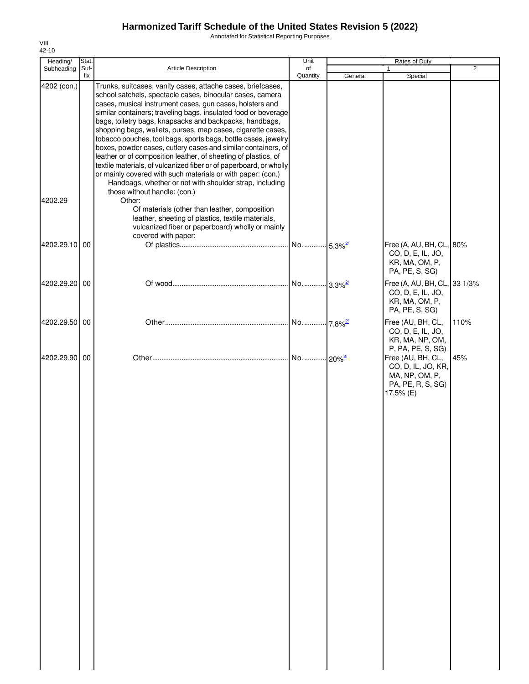Annotated for Statistical Reporting Purposes

| Heading/               | Stat.       |                                                                                                                                                                                                                                                                                                                                                                                                                                                                                                                                                                                                                                                                                                                                                                                                                                 | Unit                  |         | Rates of Duty                                                                               |                |
|------------------------|-------------|---------------------------------------------------------------------------------------------------------------------------------------------------------------------------------------------------------------------------------------------------------------------------------------------------------------------------------------------------------------------------------------------------------------------------------------------------------------------------------------------------------------------------------------------------------------------------------------------------------------------------------------------------------------------------------------------------------------------------------------------------------------------------------------------------------------------------------|-----------------------|---------|---------------------------------------------------------------------------------------------|----------------|
| Subheading             | Suf-<br>fix | <b>Article Description</b>                                                                                                                                                                                                                                                                                                                                                                                                                                                                                                                                                                                                                                                                                                                                                                                                      | of<br>Quantity        | General | 1<br>Special                                                                                | $\overline{2}$ |
| 4202 (con.)<br>4202.29 |             | Trunks, suitcases, vanity cases, attache cases, briefcases,<br>school satchels, spectacle cases, binocular cases, camera<br>cases, musical instrument cases, gun cases, holsters and<br>similar containers; traveling bags, insulated food or beverage<br>bags, toiletry bags, knapsacks and backpacks, handbags,<br>shopping bags, wallets, purses, map cases, cigarette cases,<br>tobacco pouches, tool bags, sports bags, bottle cases, jewelry<br>boxes, powder cases, cutlery cases and similar containers, of<br>leather or of composition leather, of sheeting of plastics, of<br>textile materials, of vulcanized fiber or of paperboard, or wholly<br>or mainly covered with such materials or with paper: (con.)<br>Handbags, whether or not with shoulder strap, including<br>those without handle: (con.)<br>Other: |                       |         |                                                                                             |                |
|                        |             | Of materials (other than leather, composition<br>leather, sheeting of plastics, textile materials,<br>vulcanized fiber or paperboard) wholly or mainly<br>covered with paper:                                                                                                                                                                                                                                                                                                                                                                                                                                                                                                                                                                                                                                                   |                       |         |                                                                                             |                |
| 4202.29.10 00          |             |                                                                                                                                                                                                                                                                                                                                                                                                                                                                                                                                                                                                                                                                                                                                                                                                                                 |                       |         | Free (A, AU, BH, CL, 80%<br>CO, D, E, IL, JO,<br>KR, MA, OM, P,<br>PA, PE, S, SG)           |                |
| 4202.29.20 00          |             |                                                                                                                                                                                                                                                                                                                                                                                                                                                                                                                                                                                                                                                                                                                                                                                                                                 |                       |         | Free (A, AU, BH, CL, 33 1/3%<br>CO, D, E, IL, JO,<br>KR, MA, OM, P,<br>PA, PE, S, SG)       |                |
| 4202.29.50 00          |             |                                                                                                                                                                                                                                                                                                                                                                                                                                                                                                                                                                                                                                                                                                                                                                                                                                 | No 7.8% <sup>2/</sup> |         | Free (AU, BH, CL,<br>CO, D, E, IL, JO,<br>KR, MA, NP, OM,<br>P, PA, PE, S, SG)              | 110%           |
| 4202.29.90 00          |             |                                                                                                                                                                                                                                                                                                                                                                                                                                                                                                                                                                                                                                                                                                                                                                                                                                 |                       |         | Free (AU, BH, CL,<br>CO, D, IL, JO, KR,<br>MA, NP, OM, P,<br>PA, PE, R, S, SG)<br>17.5% (E) | 45%            |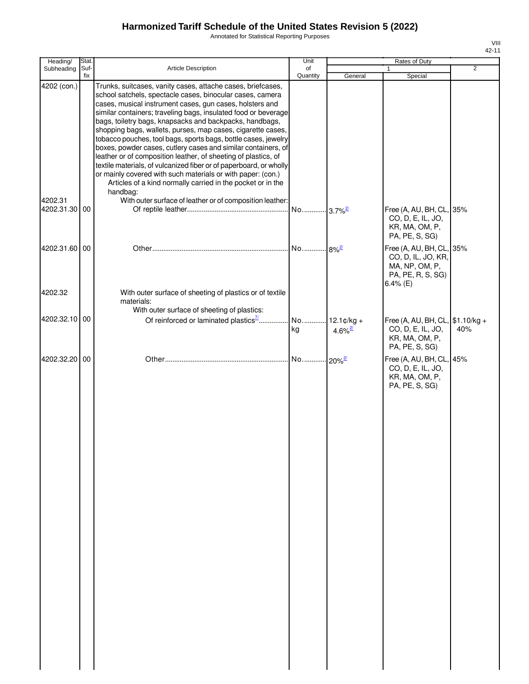Annotated for Statistical Reporting Purposes

| Heading/                 | Stat. |                                                                                                                                                                                                                                                                                                                                                                                                                                                                                                                                                                                                                                                                                                                                                                                                       | Unit                |                     | Rates of Duty                                                                                        |                |
|--------------------------|-------|-------------------------------------------------------------------------------------------------------------------------------------------------------------------------------------------------------------------------------------------------------------------------------------------------------------------------------------------------------------------------------------------------------------------------------------------------------------------------------------------------------------------------------------------------------------------------------------------------------------------------------------------------------------------------------------------------------------------------------------------------------------------------------------------------------|---------------------|---------------------|------------------------------------------------------------------------------------------------------|----------------|
| Subheading               | Suf-  | Article Description                                                                                                                                                                                                                                                                                                                                                                                                                                                                                                                                                                                                                                                                                                                                                                                   | of                  |                     | $\mathbf{1}$                                                                                         | $\overline{2}$ |
| 4202 (con.)              | fix   | Trunks, suitcases, vanity cases, attache cases, briefcases,<br>school satchels, spectacle cases, binocular cases, camera<br>cases, musical instrument cases, gun cases, holsters and<br>similar containers; traveling bags, insulated food or beverage<br>bags, toiletry bags, knapsacks and backpacks, handbags,<br>shopping bags, wallets, purses, map cases, cigarette cases,<br>tobacco pouches, tool bags, sports bags, bottle cases, jewelry<br>boxes, powder cases, cutlery cases and similar containers, of<br>leather or of composition leather, of sheeting of plastics, of<br>textile materials, of vulcanized fiber or of paperboard, or wholly<br>or mainly covered with such materials or with paper: (con.)<br>Articles of a kind normally carried in the pocket or in the<br>handbag: | Quantity            | General             | Special                                                                                              |                |
| 4202.31<br>4202.31.30 00 |       | With outer surface of leather or of composition leather:                                                                                                                                                                                                                                                                                                                                                                                                                                                                                                                                                                                                                                                                                                                                              |                     |                     | Free (A, AU, BH, CL, 35%<br>CO, D, E, IL, JO,<br>KR, MA, OM, P,<br>PA, PE, S, SG)                    |                |
| 4202.31.60 00            |       |                                                                                                                                                                                                                                                                                                                                                                                                                                                                                                                                                                                                                                                                                                                                                                                                       | No 8% <sup>2</sup>  |                     | Free (A, AU, BH, CL, 35%<br>CO, D, IL, JO, KR,<br>MA, NP, OM, P,<br>PA, PE, R, S, SG)<br>$6.4\%$ (E) |                |
| 4202.32                  |       | With outer surface of sheeting of plastics or of textile<br>materials:<br>With outer surface of sheeting of plastics:                                                                                                                                                                                                                                                                                                                                                                                                                                                                                                                                                                                                                                                                                 |                     |                     |                                                                                                      |                |
| 4202.32.10 00            |       | Of reinforced or laminated plastics <sup>7</sup>                                                                                                                                                                                                                                                                                                                                                                                                                                                                                                                                                                                                                                                                                                                                                      | No 12.1¢/kg +<br>kg | 4.6% $\frac{27}{1}$ | Free (A, AU, BH, CL, $$1.10/kg +$<br>CO, D, E, IL, JO,<br>KR, MA, OM, P,<br>PA, PE, S, SG)           | 40%            |
| 4202.32.20 00            |       |                                                                                                                                                                                                                                                                                                                                                                                                                                                                                                                                                                                                                                                                                                                                                                                                       |                     |                     | Free (A, AU, BH, CL, 45%<br>CO, D, E, IL, JO,<br>KR, MA, OM, P,<br>PA, PE, S, SG)                    |                |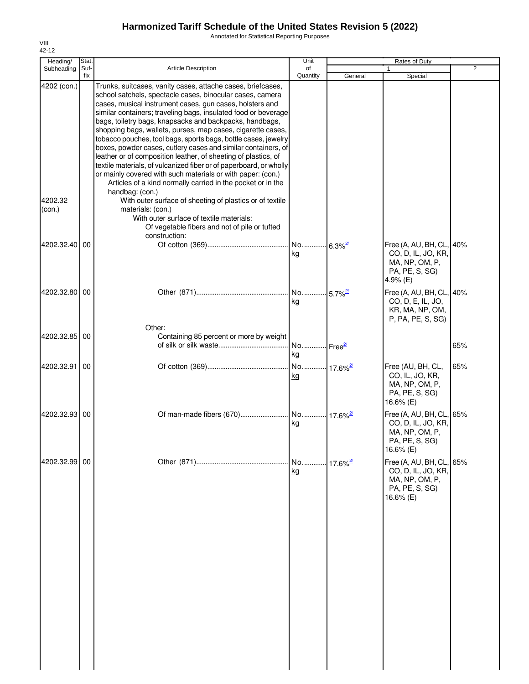Annotated for Statistical Reporting Purposes

| Heading/      | Stat.       |                                                                                                                                                                                                                                                                                                                                                                                                                                                                                                                                                                                                                                                                                                                                                                                                              | Unit                        |                        | Rates of Duty                                                                                |                |
|---------------|-------------|--------------------------------------------------------------------------------------------------------------------------------------------------------------------------------------------------------------------------------------------------------------------------------------------------------------------------------------------------------------------------------------------------------------------------------------------------------------------------------------------------------------------------------------------------------------------------------------------------------------------------------------------------------------------------------------------------------------------------------------------------------------------------------------------------------------|-----------------------------|------------------------|----------------------------------------------------------------------------------------------|----------------|
| Subheading    | Suf-<br>fix | Article Description                                                                                                                                                                                                                                                                                                                                                                                                                                                                                                                                                                                                                                                                                                                                                                                          | of<br>Quantity              | General                | Special                                                                                      | $\overline{2}$ |
| 4202 (con.)   |             | Trunks, suitcases, vanity cases, attache cases, briefcases,<br>school satchels, spectacle cases, binocular cases, camera<br>cases, musical instrument cases, gun cases, holsters and<br>similar containers; traveling bags, insulated food or beverage<br>bags, toiletry bags, knapsacks and backpacks, handbags,<br>shopping bags, wallets, purses, map cases, cigarette cases,<br>tobacco pouches, tool bags, sports bags, bottle cases, jewelry<br>boxes, powder cases, cutlery cases and similar containers, of<br>leather or of composition leather, of sheeting of plastics, of<br>textile materials, of vulcanized fiber or of paperboard, or wholly<br>or mainly covered with such materials or with paper: (con.)<br>Articles of a kind normally carried in the pocket or in the<br>handbag: (con.) |                             |                        |                                                                                              |                |
| 4202.32       |             | With outer surface of sheeting of plastics or of textile                                                                                                                                                                                                                                                                                                                                                                                                                                                                                                                                                                                                                                                                                                                                                     |                             |                        |                                                                                              |                |
| (con.)        |             | materials: (con.)<br>With outer surface of textile materials:<br>Of vegetable fibers and not of pile or tufted<br>construction:                                                                                                                                                                                                                                                                                                                                                                                                                                                                                                                                                                                                                                                                              |                             |                        |                                                                                              |                |
| 4202.32.40    | 00          |                                                                                                                                                                                                                                                                                                                                                                                                                                                                                                                                                                                                                                                                                                                                                                                                              | No 6.3% <sup>2/</sup><br>kg |                        | Free (A, AU, BH, CL,<br>CO, D, IL, JO, KR,<br>MA, NP, OM, P,<br>PA, PE, S, SG)<br>4.9% $(E)$ | 40%            |
| 4202.32.80 00 |             | Other:                                                                                                                                                                                                                                                                                                                                                                                                                                                                                                                                                                                                                                                                                                                                                                                                       | . No<br>kg                  | $-5.7\%$ <sup>2/</sup> | Free (A, AU, BH, CL,<br>CO, D, E, IL, JO,<br>KR, MA, NP, OM,<br>P, PA, PE, S, SG)            | 40%            |
| 4202.32.85 00 |             | Containing 85 percent or more by weight                                                                                                                                                                                                                                                                                                                                                                                                                                                                                                                                                                                                                                                                                                                                                                      |                             |                        |                                                                                              |                |
|               |             |                                                                                                                                                                                                                                                                                                                                                                                                                                                                                                                                                                                                                                                                                                                                                                                                              | No Free <sup>2/</sup><br>kg |                        |                                                                                              | 65%            |
| 4202.32.91    | 00          |                                                                                                                                                                                                                                                                                                                                                                                                                                                                                                                                                                                                                                                                                                                                                                                                              | kg                          |                        | Free (AU, BH, CL,<br>CO, IL, JO, KR,<br>MA, NP, OM, P,<br>PA, PE, S, SG)<br>16.6% (E)        | 65%            |
| 4202.32.93 00 |             |                                                                                                                                                                                                                                                                                                                                                                                                                                                                                                                                                                                                                                                                                                                                                                                                              | kg                          |                        | Free (A, AU, BH, CL,<br>CO, D, IL, JO, KR,<br>MA, NP, OM, P,<br>PA, PE, S, SG)<br>16.6% (E)  | 65%            |
| 4202.32.99 00 |             |                                                                                                                                                                                                                                                                                                                                                                                                                                                                                                                                                                                                                                                                                                                                                                                                              | No<br>kg                    | ¶17.6% <sup>2/</sup>   | Free (A, AU, BH, CL,<br>CO, D, IL, JO, KR,<br>MA, NP, OM, P,<br>PA, PE, S, SG)<br>16.6% (E)  | 65%            |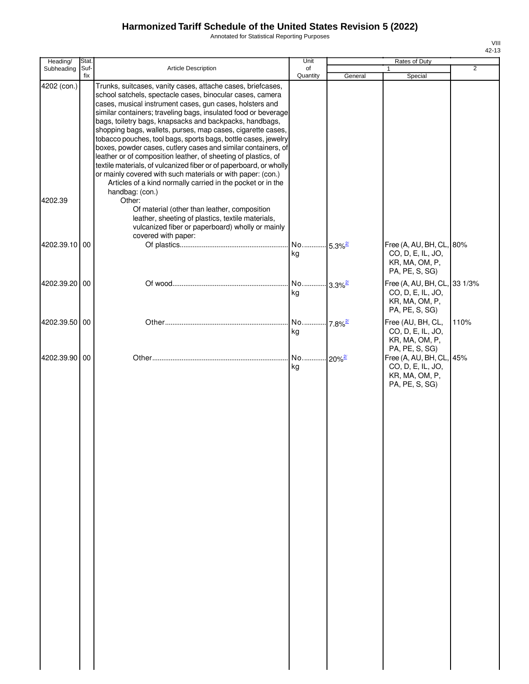Annotated for Statistical Reporting Purposes

| VIII  |
|-------|
| 42-13 |

| Heading/      | Stat.       |                                                                                                                                                                                                                                                                                                                                                                                                                                                                                                                                                                                                                                                                                                                                                                                           | Unit                        |                       | Rates of Duty                                                                         |                |
|---------------|-------------|-------------------------------------------------------------------------------------------------------------------------------------------------------------------------------------------------------------------------------------------------------------------------------------------------------------------------------------------------------------------------------------------------------------------------------------------------------------------------------------------------------------------------------------------------------------------------------------------------------------------------------------------------------------------------------------------------------------------------------------------------------------------------------------------|-----------------------------|-----------------------|---------------------------------------------------------------------------------------|----------------|
| Subheading    | Suf-<br>fix | Article Description                                                                                                                                                                                                                                                                                                                                                                                                                                                                                                                                                                                                                                                                                                                                                                       | of<br>Quantity              | General               | $\mathbf{1}$<br>Special                                                               | $\overline{2}$ |
| 4202 (con.)   |             | Trunks, suitcases, vanity cases, attache cases, briefcases,<br>school satchels, spectacle cases, binocular cases, camera<br>cases, musical instrument cases, gun cases, holsters and<br>similar containers; traveling bags, insulated food or beverage<br>bags, toiletry bags, knapsacks and backpacks, handbags,<br>shopping bags, wallets, purses, map cases, cigarette cases,<br>tobacco pouches, tool bags, sports bags, bottle cases, jewelry<br>boxes, powder cases, cutlery cases and similar containers, of<br>leather or of composition leather, of sheeting of plastics, of<br>textile materials, of vulcanized fiber or of paperboard, or wholly<br>or mainly covered with such materials or with paper: (con.)<br>Articles of a kind normally carried in the pocket or in the |                             |                       |                                                                                       |                |
| 4202.39       |             | handbag: (con.)<br>Other:<br>Of material (other than leather, composition<br>leather, sheeting of plastics, textile materials,<br>vulcanized fiber or paperboard) wholly or mainly<br>covered with paper:                                                                                                                                                                                                                                                                                                                                                                                                                                                                                                                                                                                 |                             |                       |                                                                                       |                |
| 4202.39.10 00 |             |                                                                                                                                                                                                                                                                                                                                                                                                                                                                                                                                                                                                                                                                                                                                                                                           | No 5.3% <sup>2/</sup><br>kg |                       | Free (A, AU, BH, CL, 80%<br>CO, D, E, IL, JO,<br>KR, MA, OM, P,<br>PA, PE, S, SG)     |                |
| 4202.39.20 00 |             |                                                                                                                                                                                                                                                                                                                                                                                                                                                                                                                                                                                                                                                                                                                                                                                           | No<br>kg                    | $3.3\%$ <sup>2/</sup> | Free (A, AU, BH, CL, 33 1/3%<br>CO, D, E, IL, JO,<br>KR, MA, OM, P,<br>PA, PE, S, SG) |                |
| 4202.39.50 00 |             |                                                                                                                                                                                                                                                                                                                                                                                                                                                                                                                                                                                                                                                                                                                                                                                           | No<br>kg                    | 7.8% <sup>2/</sup>    | Free (AU, BH, CL,<br>CO, D, E, IL, JO,<br>KR, MA, OM, P,<br>PA, PE, S, SG)            | 110%           |
| 4202.39.90 00 |             |                                                                                                                                                                                                                                                                                                                                                                                                                                                                                                                                                                                                                                                                                                                                                                                           | No<br>kg                    | $20\%$ <sup>2/</sup>  | Free (A, AU, BH, CL, 45%<br>CO, D, E, IL, JO,<br>KR, MA, OM, P,<br>PA, PE, S, SG)     |                |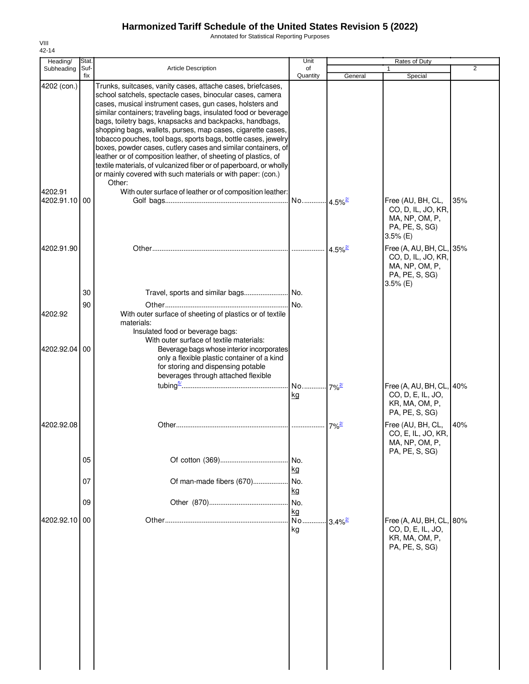Annotated for Statistical Reporting Purposes

| Heading/                 | Stat.       |                                                                                                                                                                                                                                                                                                                                                                                                                                                                                                                                                                                                                                                                                                                                      | Unit           |                       | Rates of Duty                                                                                    |                |
|--------------------------|-------------|--------------------------------------------------------------------------------------------------------------------------------------------------------------------------------------------------------------------------------------------------------------------------------------------------------------------------------------------------------------------------------------------------------------------------------------------------------------------------------------------------------------------------------------------------------------------------------------------------------------------------------------------------------------------------------------------------------------------------------------|----------------|-----------------------|--------------------------------------------------------------------------------------------------|----------------|
| Subheading               | Suf-<br>fix | Article Description                                                                                                                                                                                                                                                                                                                                                                                                                                                                                                                                                                                                                                                                                                                  | of<br>Quantity | General               | Special                                                                                          | $\overline{2}$ |
| 4202 (con.)              |             | Trunks, suitcases, vanity cases, attache cases, briefcases,<br>school satchels, spectacle cases, binocular cases, camera<br>cases, musical instrument cases, gun cases, holsters and<br>similar containers; traveling bags, insulated food or beverage<br>bags, toiletry bags, knapsacks and backpacks, handbags,<br>shopping bags, wallets, purses, map cases, cigarette cases,<br>tobacco pouches, tool bags, sports bags, bottle cases, jewelry<br>boxes, powder cases, cutlery cases and similar containers, of<br>leather or of composition leather, of sheeting of plastics, of<br>textile materials, of vulcanized fiber or of paperboard, or wholly<br>or mainly covered with such materials or with paper: (con.)<br>Other: |                |                       |                                                                                                  |                |
| 4202.91<br>4202.91.10 00 |             | With outer surface of leather or of composition leather:                                                                                                                                                                                                                                                                                                                                                                                                                                                                                                                                                                                                                                                                             |                |                       | Free (AU, BH, CL,<br>CO, D, IL, JO, KR,<br>MA, NP, OM, P,<br>PA, PE, S, SG)                      | 35%            |
| 4202.91.90               |             |                                                                                                                                                                                                                                                                                                                                                                                                                                                                                                                                                                                                                                                                                                                                      |                | $4.5\%$ <sup>2/</sup> | $3.5%$ (E)<br>Free (A, AU, BH, CL, 35%<br>CO, D, IL, JO, KR,<br>MA, NP, OM, P,<br>PA, PE, S, SG) |                |
|                          | 30          |                                                                                                                                                                                                                                                                                                                                                                                                                                                                                                                                                                                                                                                                                                                                      |                |                       | $3.5%$ (E)                                                                                       |                |
|                          | 90          |                                                                                                                                                                                                                                                                                                                                                                                                                                                                                                                                                                                                                                                                                                                                      |                |                       |                                                                                                  |                |
| 4202.92                  |             | With outer surface of sheeting of plastics or of textile<br>materials:<br>Insulated food or beverage bags:<br>With outer surface of textile materials:                                                                                                                                                                                                                                                                                                                                                                                                                                                                                                                                                                               |                |                       |                                                                                                  |                |
| 4202.92.04               | 00          | Beverage bags whose interior incorporates<br>only a flexible plastic container of a kind<br>for storing and dispensing potable<br>beverages through attached flexible                                                                                                                                                                                                                                                                                                                                                                                                                                                                                                                                                                |                |                       |                                                                                                  |                |
|                          |             |                                                                                                                                                                                                                                                                                                                                                                                                                                                                                                                                                                                                                                                                                                                                      | . No 7%2<br>kg |                       | Free (A, AU, BH, CL, 40%<br>CO, D, E, IL, JO,<br>KR, MA, OM, P,<br>PA, PE, S, SG)                |                |
| 4202.92.08               |             |                                                                                                                                                                                                                                                                                                                                                                                                                                                                                                                                                                                                                                                                                                                                      |                | $7\%$ <sup>2/</sup>   | Free (AU, BH, CL,<br>CO, E, IL, JO, KR,<br>MA, NP, OM, P,<br>PA, PE, S, SG)                      | 40%            |
|                          | 05          |                                                                                                                                                                                                                                                                                                                                                                                                                                                                                                                                                                                                                                                                                                                                      | INo.<br>kg     |                       |                                                                                                  |                |
|                          | 07          | Of man-made fibers (670)                                                                                                                                                                                                                                                                                                                                                                                                                                                                                                                                                                                                                                                                                                             | No.<br>kg      |                       |                                                                                                  |                |
|                          | 09          |                                                                                                                                                                                                                                                                                                                                                                                                                                                                                                                                                                                                                                                                                                                                      | No.<br>kg      |                       |                                                                                                  |                |
| 4202.92.10               | 00          |                                                                                                                                                                                                                                                                                                                                                                                                                                                                                                                                                                                                                                                                                                                                      | No<br>kg       | $3.4\%$ <sup>2/</sup> | Free (A, AU, BH, CL, 80%<br>CO, D, E, IL, JO,<br>KR, MA, OM, P,<br>PA, PE, S, SG)                |                |
|                          |             |                                                                                                                                                                                                                                                                                                                                                                                                                                                                                                                                                                                                                                                                                                                                      |                |                       |                                                                                                  |                |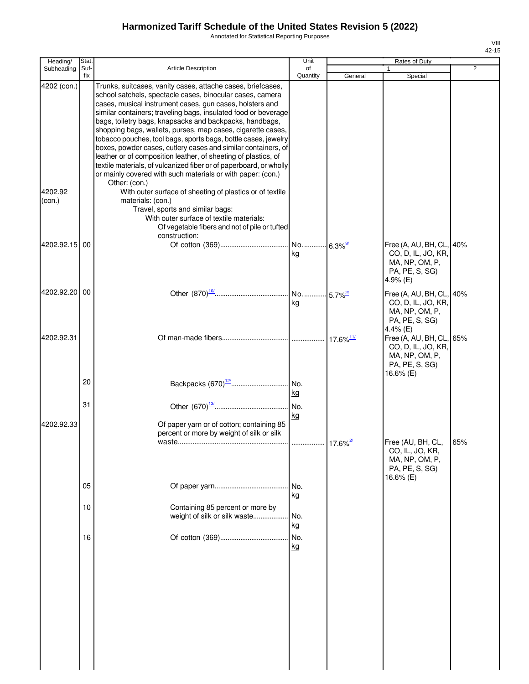Annotated for Statistical Reporting Purposes

| Heading/          | Stat.       |                                                                                                                                                                                                                                                                                                                                                                                                                                                                                                                                                                                                                                                                                                                                             | Unit             |         | <b>Rates of Duty</b>                                                                            |                |
|-------------------|-------------|---------------------------------------------------------------------------------------------------------------------------------------------------------------------------------------------------------------------------------------------------------------------------------------------------------------------------------------------------------------------------------------------------------------------------------------------------------------------------------------------------------------------------------------------------------------------------------------------------------------------------------------------------------------------------------------------------------------------------------------------|------------------|---------|-------------------------------------------------------------------------------------------------|----------------|
| Subheading        | Suf-<br>fix | <b>Article Description</b>                                                                                                                                                                                                                                                                                                                                                                                                                                                                                                                                                                                                                                                                                                                  | of<br>Quantity   | General | 1<br>Special                                                                                    | $\overline{2}$ |
| 4202 (con.)       |             | Trunks, suitcases, vanity cases, attache cases, briefcases,<br>school satchels, spectacle cases, binocular cases, camera<br>cases, musical instrument cases, gun cases, holsters and<br>similar containers; traveling bags, insulated food or beverage<br>bags, toiletry bags, knapsacks and backpacks, handbags,<br>shopping bags, wallets, purses, map cases, cigarette cases,<br>tobacco pouches, tool bags, sports bags, bottle cases, jewelry<br>boxes, powder cases, cutlery cases and similar containers, of<br>leather or of composition leather, of sheeting of plastics, of<br>textile materials, of vulcanized fiber or of paperboard, or wholly<br>or mainly covered with such materials or with paper: (con.)<br>Other: (con.) |                  |         |                                                                                                 |                |
| 4202.92<br>(con.) |             | With outer surface of sheeting of plastics or of textile<br>materials: (con.)<br>Travel, sports and similar bags:<br>With outer surface of textile materials:<br>Of vegetable fibers and not of pile or tufted<br>construction:                                                                                                                                                                                                                                                                                                                                                                                                                                                                                                             |                  |         |                                                                                                 |                |
| 4202.92.15        | 00          |                                                                                                                                                                                                                                                                                                                                                                                                                                                                                                                                                                                                                                                                                                                                             | kg               |         | Free (A, AU, BH, CL, 40%<br>CO, D, IL, JO, KR,<br>MA, NP, OM, P,<br>PA, PE, S, SG)<br>4.9% (E)  |                |
| 4202.92.20 00     |             |                                                                                                                                                                                                                                                                                                                                                                                                                                                                                                                                                                                                                                                                                                                                             | kg               |         | Free (A, AU, BH, CL, 40%<br>CO, D, IL, JO, KR,<br>MA, NP, OM, P,<br>PA, PE, S, SG)<br>4.4% (E)  |                |
| 4202.92.31        |             |                                                                                                                                                                                                                                                                                                                                                                                                                                                                                                                                                                                                                                                                                                                                             |                  |         | Free (A, AU, BH, CL, 65%<br>CO, D, IL, JO, KR,<br>MA, NP, OM, P,<br>PA, PE, S, SG)<br>16.6% (E) |                |
|                   | 20          | Backpacks (670) <sup>12</sup>                                                                                                                                                                                                                                                                                                                                                                                                                                                                                                                                                                                                                                                                                                               | No.<br>kg        |         |                                                                                                 |                |
| 4202.92.33        | 31          | Of paper yarn or of cotton; containing 85<br>percent or more by weight of silk or silk                                                                                                                                                                                                                                                                                                                                                                                                                                                                                                                                                                                                                                                      | No.<br>kg        | 17.6%   | Free (AU, BH, CL,<br>CO, IL, JO, KR,                                                            | 65%            |
|                   | 05<br>10    | Containing 85 percent or more by                                                                                                                                                                                                                                                                                                                                                                                                                                                                                                                                                                                                                                                                                                            | No.<br>kg        |         | MA, NP, OM, P,<br>PA, PE, S, SG)<br>16.6% (E)                                                   |                |
|                   | 16          | weight of silk or silk waste                                                                                                                                                                                                                                                                                                                                                                                                                                                                                                                                                                                                                                                                                                                | No.<br>kg<br>No. |         |                                                                                                 |                |
|                   |             |                                                                                                                                                                                                                                                                                                                                                                                                                                                                                                                                                                                                                                                                                                                                             | kg               |         |                                                                                                 |                |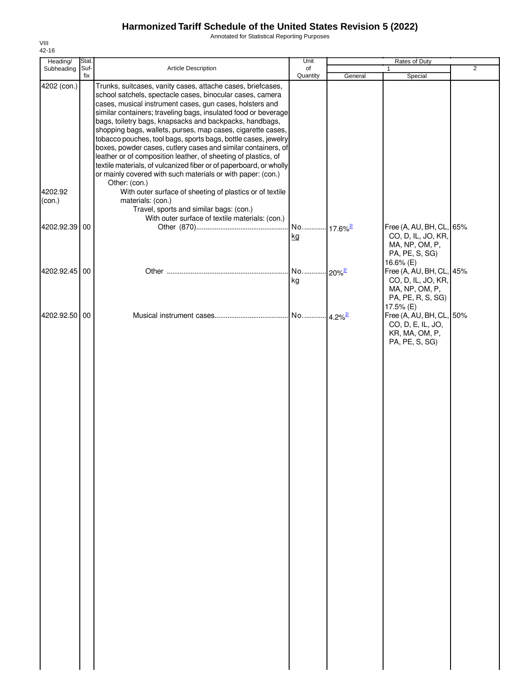Annotated for Statistical Reporting Purposes

| Heading/               | Stat.       |                                                                                                                                                                                                                                                                                                                                                                                                                                                                                                                                                                                                                                                                                                                                                                                                         | Unit                         |                       | Rates of Duty                                                                                   |                |
|------------------------|-------------|---------------------------------------------------------------------------------------------------------------------------------------------------------------------------------------------------------------------------------------------------------------------------------------------------------------------------------------------------------------------------------------------------------------------------------------------------------------------------------------------------------------------------------------------------------------------------------------------------------------------------------------------------------------------------------------------------------------------------------------------------------------------------------------------------------|------------------------------|-----------------------|-------------------------------------------------------------------------------------------------|----------------|
| Subheading             | Suf-<br>fix | Article Description                                                                                                                                                                                                                                                                                                                                                                                                                                                                                                                                                                                                                                                                                                                                                                                     | of<br>Quantity               | General               | $\mathbf{1}$<br>Special                                                                         | $\overline{2}$ |
| 4202 (con.)<br>4202.92 |             | Trunks, suitcases, vanity cases, attache cases, briefcases,<br>school satchels, spectacle cases, binocular cases, camera<br>cases, musical instrument cases, gun cases, holsters and<br>similar containers; traveling bags, insulated food or beverage<br>bags, toiletry bags, knapsacks and backpacks, handbags,<br>shopping bags, wallets, purses, map cases, cigarette cases,<br>tobacco pouches, tool bags, sports bags, bottle cases, jewelry<br>boxes, powder cases, cutlery cases and similar containers, of<br>leather or of composition leather, of sheeting of plastics, of<br>textile materials, of vulcanized fiber or of paperboard, or wholly<br>or mainly covered with such materials or with paper: (con.)<br>Other: (con.)<br>With outer surface of sheeting of plastics or of textile |                              |                       |                                                                                                 |                |
| (con.)                 |             | materials: (con.)<br>Travel, sports and similar bags: (con.)<br>With outer surface of textile materials: (con.)                                                                                                                                                                                                                                                                                                                                                                                                                                                                                                                                                                                                                                                                                         |                              |                       |                                                                                                 |                |
| 4202.92.39 00          |             |                                                                                                                                                                                                                                                                                                                                                                                                                                                                                                                                                                                                                                                                                                                                                                                                         | No 17.6% <sup>2/</sup><br>kg |                       | Free (A, AU, BH, CL, 65%<br>CO, D, IL, JO, KR,<br>MA, NP, OM, P,<br>PA, PE, S, SG)<br>16.6% (E) |                |
| 4202.92.45 00          |             |                                                                                                                                                                                                                                                                                                                                                                                                                                                                                                                                                                                                                                                                                                                                                                                                         | No 20% <sup>2/</sup><br>kg   |                       | Free (A, AU, BH, CL, 45%<br>CO, D, IL, JO, KR,<br>MA, NP, OM, P,<br>PA, PE, R, S, SG)           |                |
| 4202.92.50 00          |             |                                                                                                                                                                                                                                                                                                                                                                                                                                                                                                                                                                                                                                                                                                                                                                                                         | No                           | $4.2\%$ <sup>2/</sup> | 17.5% (E)<br>Free (A, AU, BH, CL,<br>CO, D, E, IL, JO,<br>KR, MA, OM, P,<br>PA, PE, S, SG)      | 50%            |

VIII 42-16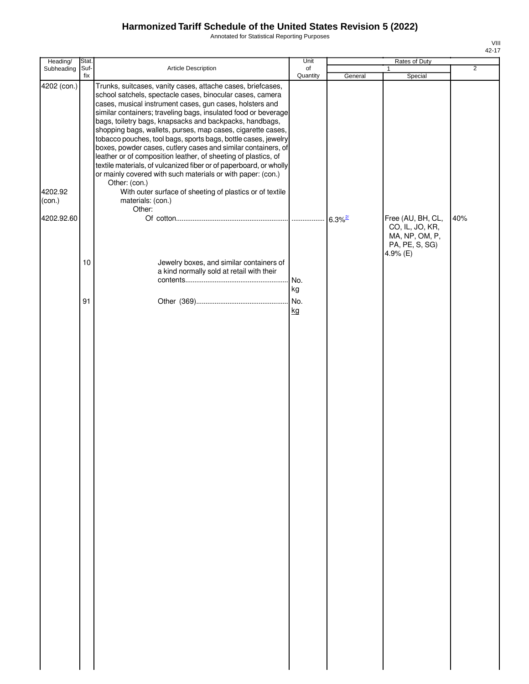Annotated for Statistical Reporting Purposes

| VIII  |
|-------|
| 42-17 |

| Heading/          | Stat. |                                                                                                                                                                                                                                                                                                                                                                                                                                                                                                                                                                                                                                                                                                                                             | Unit      |                       | Rates of Duty                                                                        |                |
|-------------------|-------|---------------------------------------------------------------------------------------------------------------------------------------------------------------------------------------------------------------------------------------------------------------------------------------------------------------------------------------------------------------------------------------------------------------------------------------------------------------------------------------------------------------------------------------------------------------------------------------------------------------------------------------------------------------------------------------------------------------------------------------------|-----------|-----------------------|--------------------------------------------------------------------------------------|----------------|
| Subheading        | Suf-  | Article Description                                                                                                                                                                                                                                                                                                                                                                                                                                                                                                                                                                                                                                                                                                                         | of        |                       | 1                                                                                    | $\overline{2}$ |
| 4202 (con.)       | fix   | Trunks, suitcases, vanity cases, attache cases, briefcases,<br>school satchels, spectacle cases, binocular cases, camera<br>cases, musical instrument cases, gun cases, holsters and<br>similar containers; traveling bags, insulated food or beverage<br>bags, toiletry bags, knapsacks and backpacks, handbags,<br>shopping bags, wallets, purses, map cases, cigarette cases,<br>tobacco pouches, tool bags, sports bags, bottle cases, jewelry<br>boxes, powder cases, cutlery cases and similar containers, of<br>leather or of composition leather, of sheeting of plastics, of<br>textile materials, of vulcanized fiber or of paperboard, or wholly<br>or mainly covered with such materials or with paper: (con.)<br>Other: (con.) | Quantity  | General               | Special                                                                              |                |
| 4202.92<br>(con.) |       | With outer surface of sheeting of plastics or of textile<br>materials: (con.)<br>Other:                                                                                                                                                                                                                                                                                                                                                                                                                                                                                                                                                                                                                                                     |           |                       |                                                                                      |                |
| 4202.92.60        |       |                                                                                                                                                                                                                                                                                                                                                                                                                                                                                                                                                                                                                                                                                                                                             |           | $6.3\%$ <sup>2/</sup> | Free (AU, BH, CL,<br>CO, IL, JO, KR,<br>MA, NP, OM, P,<br>PA, PE, S, SG)<br>4.9% (E) | 40%            |
|                   | 10    | Jewelry boxes, and similar containers of<br>a kind normally sold at retail with their                                                                                                                                                                                                                                                                                                                                                                                                                                                                                                                                                                                                                                                       | No.<br>kg |                       |                                                                                      |                |
|                   | 91    |                                                                                                                                                                                                                                                                                                                                                                                                                                                                                                                                                                                                                                                                                                                                             | No.<br>kg |                       |                                                                                      |                |
|                   |       |                                                                                                                                                                                                                                                                                                                                                                                                                                                                                                                                                                                                                                                                                                                                             |           |                       |                                                                                      |                |
|                   |       |                                                                                                                                                                                                                                                                                                                                                                                                                                                                                                                                                                                                                                                                                                                                             |           |                       |                                                                                      |                |
|                   |       |                                                                                                                                                                                                                                                                                                                                                                                                                                                                                                                                                                                                                                                                                                                                             |           |                       |                                                                                      |                |
|                   |       |                                                                                                                                                                                                                                                                                                                                                                                                                                                                                                                                                                                                                                                                                                                                             |           |                       |                                                                                      |                |
|                   |       |                                                                                                                                                                                                                                                                                                                                                                                                                                                                                                                                                                                                                                                                                                                                             |           |                       |                                                                                      |                |
|                   |       |                                                                                                                                                                                                                                                                                                                                                                                                                                                                                                                                                                                                                                                                                                                                             |           |                       |                                                                                      |                |
|                   |       |                                                                                                                                                                                                                                                                                                                                                                                                                                                                                                                                                                                                                                                                                                                                             |           |                       |                                                                                      |                |
|                   |       |                                                                                                                                                                                                                                                                                                                                                                                                                                                                                                                                                                                                                                                                                                                                             |           |                       |                                                                                      |                |
|                   |       |                                                                                                                                                                                                                                                                                                                                                                                                                                                                                                                                                                                                                                                                                                                                             |           |                       |                                                                                      |                |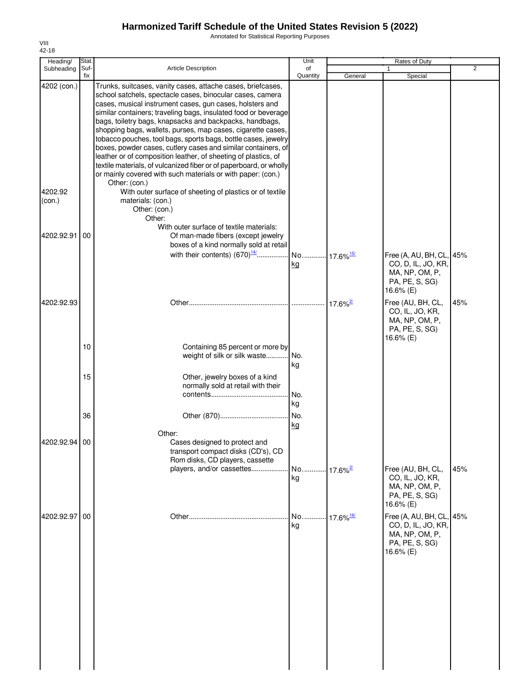Annotated for Statistical Reporting Purposes

| Heading/                         | Stat.       |                                                                                                                                                                                                                                                                                                                                                                                                                                                                                                                                                                                                                                                                                                                                                                                                                              | Unit           |                         | Rates of Duty                                                                                   |     |
|----------------------------------|-------------|------------------------------------------------------------------------------------------------------------------------------------------------------------------------------------------------------------------------------------------------------------------------------------------------------------------------------------------------------------------------------------------------------------------------------------------------------------------------------------------------------------------------------------------------------------------------------------------------------------------------------------------------------------------------------------------------------------------------------------------------------------------------------------------------------------------------------|----------------|-------------------------|-------------------------------------------------------------------------------------------------|-----|
| Subheading                       | Suf-<br>fix | Article Description                                                                                                                                                                                                                                                                                                                                                                                                                                                                                                                                                                                                                                                                                                                                                                                                          | of<br>Quantity | General                 | 1<br>Special                                                                                    | 2   |
| 4202 (con.)<br>4202.92<br>(con.) |             | Trunks, suitcases, vanity cases, attache cases, briefcases,<br>school satchels, spectacle cases, binocular cases, camera<br>cases, musical instrument cases, gun cases, holsters and<br>similar containers; traveling bags, insulated food or beverage<br>bags, toiletry bags, knapsacks and backpacks, handbags,<br>shopping bags, wallets, purses, map cases, cigarette cases,<br>tobacco pouches, tool bags, sports bags, bottle cases, jewelry<br>boxes, powder cases, cutlery cases and similar containers, of<br>leather or of composition leather, of sheeting of plastics, of<br>textile materials, of vulcanized fiber or of paperboard, or wholly<br>or mainly covered with such materials or with paper: (con.)<br>Other: (con.)<br>With outer surface of sheeting of plastics or of textile<br>materials: (con.) |                |                         |                                                                                                 |     |
| 4202.92.91                       | 00          | Other: (con.)<br>Other:<br>With outer surface of textile materials:<br>Of man-made fibers (except jewelry                                                                                                                                                                                                                                                                                                                                                                                                                                                                                                                                                                                                                                                                                                                    |                |                         |                                                                                                 |     |
|                                  |             | boxes of a kind normally sold at retail                                                                                                                                                                                                                                                                                                                                                                                                                                                                                                                                                                                                                                                                                                                                                                                      | kg             |                         | Free (A, AU, BH, CL, 45%<br>CO, D, IL, JO, KR,<br>MA, NP, OM, P,<br>PA, PE, S, SG)<br>16.6% (E) |     |
| 4202.92.93                       |             |                                                                                                                                                                                                                                                                                                                                                                                                                                                                                                                                                                                                                                                                                                                                                                                                                              |                | $17.6\%$ <sup>2</sup>   | Free (AU, BH, CL,<br>CO, IL, JO, KR,<br>MA, NP, OM, P,<br>PA, PE, S, SG)<br>16.6% (E)           | 45% |
|                                  | 10          | Containing 85 percent or more by<br>weight of silk or silk waste                                                                                                                                                                                                                                                                                                                                                                                                                                                                                                                                                                                                                                                                                                                                                             | No.<br>kg      |                         |                                                                                                 |     |
|                                  | 15          | Other, jewelry boxes of a kind<br>normally sold at retail with their                                                                                                                                                                                                                                                                                                                                                                                                                                                                                                                                                                                                                                                                                                                                                         | No.<br>kg      |                         |                                                                                                 |     |
|                                  | 36          | Other:                                                                                                                                                                                                                                                                                                                                                                                                                                                                                                                                                                                                                                                                                                                                                                                                                       | No.<br>kg      |                         |                                                                                                 |     |
| 4202.92.94                       | 00          | Cases designed to protect and<br>transport compact disks (CD's), CD<br>Rom disks, CD players, cassette                                                                                                                                                                                                                                                                                                                                                                                                                                                                                                                                                                                                                                                                                                                       | kg             |                         | Free (AU, BH, CL,<br>CO, IL, JO, KR,<br>MA, NP, OM, P,<br>PA, PE, S, SG)<br>16.6% (E)           | 45% |
| 4202.92.97 00                    |             |                                                                                                                                                                                                                                                                                                                                                                                                                                                                                                                                                                                                                                                                                                                                                                                                                              | No<br>kg       | $17.6\%$ <sup>16/</sup> | Free (A, AU, BH, CL,<br>CO, D, IL, JO, KR,<br>MA, NP, OM, P,<br>PA, PE, S, SG)<br>16.6% (E)     | 45% |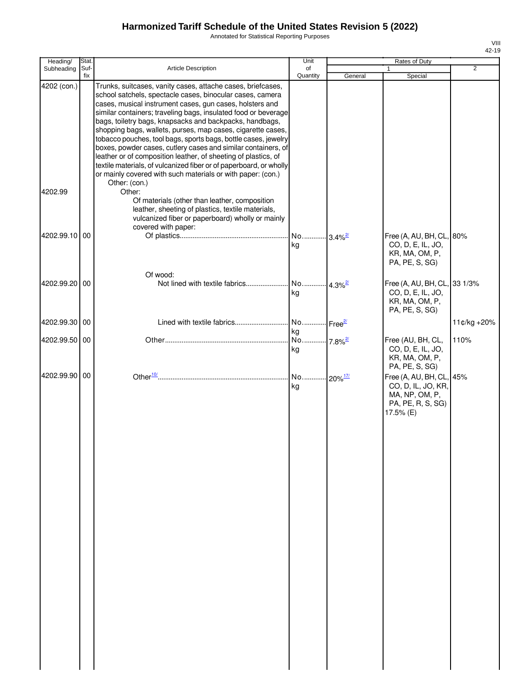Annotated for Statistical Reporting Purposes

| Heading/      | Stat.       |                                                                                                                                                                                                                                                                                                                                                                                                                                                                                                                                                                                                                                                                                                                                             | Unit                              |         | Rates of Duty                                                                                      |                |
|---------------|-------------|---------------------------------------------------------------------------------------------------------------------------------------------------------------------------------------------------------------------------------------------------------------------------------------------------------------------------------------------------------------------------------------------------------------------------------------------------------------------------------------------------------------------------------------------------------------------------------------------------------------------------------------------------------------------------------------------------------------------------------------------|-----------------------------------|---------|----------------------------------------------------------------------------------------------------|----------------|
| Subheading    | Suf-<br>fix | Article Description                                                                                                                                                                                                                                                                                                                                                                                                                                                                                                                                                                                                                                                                                                                         | of<br>Quantity                    | General | 1<br>Special                                                                                       | $\overline{2}$ |
| 4202 (con.)   |             | Trunks, suitcases, vanity cases, attache cases, briefcases,<br>school satchels, spectacle cases, binocular cases, camera<br>cases, musical instrument cases, gun cases, holsters and<br>similar containers; traveling bags, insulated food or beverage<br>bags, toiletry bags, knapsacks and backpacks, handbags,<br>shopping bags, wallets, purses, map cases, cigarette cases,<br>tobacco pouches, tool bags, sports bags, bottle cases, jewelry<br>boxes, powder cases, cutlery cases and similar containers, of<br>leather or of composition leather, of sheeting of plastics, of<br>textile materials, of vulcanized fiber or of paperboard, or wholly<br>or mainly covered with such materials or with paper: (con.)<br>Other: (con.) |                                   |         |                                                                                                    |                |
| 4202.99       |             | Other:<br>Of materials (other than leather, composition<br>leather, sheeting of plastics, textile materials,<br>vulcanized fiber or paperboard) wholly or mainly<br>covered with paper:                                                                                                                                                                                                                                                                                                                                                                                                                                                                                                                                                     |                                   |         |                                                                                                    |                |
| 4202.99.10 00 |             |                                                                                                                                                                                                                                                                                                                                                                                                                                                                                                                                                                                                                                                                                                                                             | No 3.4% <sup>2/21</sup><br>kg     |         | Free (A, AU, BH, CL, 80%<br>CO, D, E, IL, JO,<br>KR, MA, OM, P,<br>PA, PE, S, SG)                  |                |
| 4202.99.20 00 |             | Of wood:                                                                                                                                                                                                                                                                                                                                                                                                                                                                                                                                                                                                                                                                                                                                    | ka                                |         | Free (A, AU, BH, CL, 33 1/3%<br>CO, D, E, IL, JO,<br>KR, MA, OM, P,<br>PA, PE, S, SG)              |                |
| 4202.99.30 00 |             |                                                                                                                                                                                                                                                                                                                                                                                                                                                                                                                                                                                                                                                                                                                                             |                                   |         |                                                                                                    | 11¢/kg +20%    |
| 4202.99.50 00 |             |                                                                                                                                                                                                                                                                                                                                                                                                                                                                                                                                                                                                                                                                                                                                             | kg<br>No 7.8% <sup>2/</sup><br>kg |         | Free (AU, BH, CL,<br>CO, D, E, IL, JO,<br>KR, MA, OM, P,<br>PA, PE, S, SG)                         | 110%           |
| 4202.99.90 00 |             |                                                                                                                                                                                                                                                                                                                                                                                                                                                                                                                                                                                                                                                                                                                                             | kg                                |         | Free (A, AU, BH, CL, 45%<br>CO, D, IL, JO, KR,<br>MA, NP, OM, P,<br>PA, PE, R, S, SG)<br>17.5% (E) |                |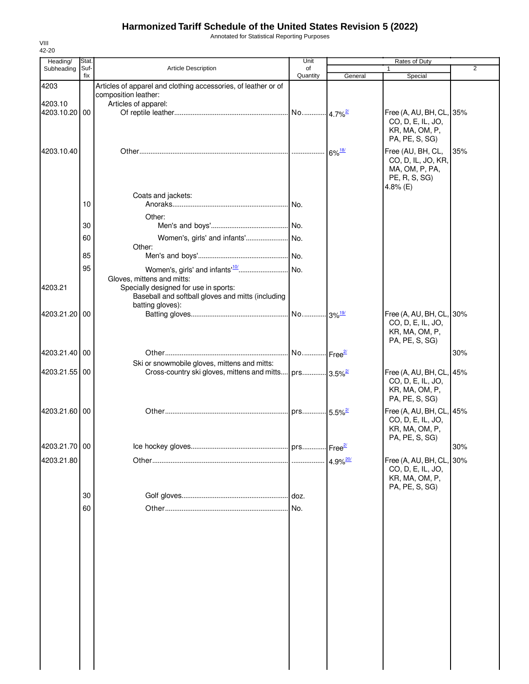Annotated for Statistical Reporting Purposes

| Heading/                 | Stat.       |                                                                                                                   | Unit                  |                        | Rates of Duty                                 |     |
|--------------------------|-------------|-------------------------------------------------------------------------------------------------------------------|-----------------------|------------------------|-----------------------------------------------|-----|
| Subheading               | Suf-<br>fix | <b>Article Description</b>                                                                                        | of<br>Quantity        | General                | $\mathbf{1}$<br>Special                       | 2   |
| 4203                     |             | Articles of apparel and clothing accessories, of leather or of                                                    |                       |                        |                                               |     |
|                          |             | composition leather:                                                                                              |                       |                        |                                               |     |
| 4203.10<br>4203.10.20 00 |             | Articles of apparel:                                                                                              |                       |                        | Free (A, AU, BH, CL, 35%                      |     |
|                          |             |                                                                                                                   |                       |                        | CO, D, E, IL, JO,                             |     |
|                          |             |                                                                                                                   |                       |                        | KR, MA, OM, P,                                |     |
|                          |             |                                                                                                                   |                       |                        | PA, PE, S, SG)                                |     |
| 4203.10.40               |             |                                                                                                                   |                       |                        | Free (AU, BH, CL,<br>CO, D, IL, JO, KR,       | 35% |
|                          |             |                                                                                                                   |                       |                        | MA, OM, P, PA,                                |     |
|                          |             |                                                                                                                   |                       |                        | PE, R, S, SG)                                 |     |
|                          |             | Coats and jackets:                                                                                                |                       |                        | 4.8% (E)                                      |     |
|                          | 10          |                                                                                                                   |                       |                        |                                               |     |
|                          |             | Other:                                                                                                            |                       |                        |                                               |     |
|                          | 30          |                                                                                                                   |                       |                        |                                               |     |
|                          | 60          | Women's, girls' and infants' No.                                                                                  |                       |                        |                                               |     |
|                          |             | Other:                                                                                                            |                       |                        |                                               |     |
|                          | 85          |                                                                                                                   |                       |                        |                                               |     |
|                          | 95          |                                                                                                                   |                       |                        |                                               |     |
| 4203.21                  |             | Gloves, mittens and mitts:<br>Specially designed for use in sports:                                               |                       |                        |                                               |     |
|                          |             | Baseball and softball gloves and mitts (including                                                                 |                       |                        |                                               |     |
| 4203.21.20               | 00          | batting gloves):                                                                                                  |                       |                        | Free (A, AU, BH, CL, 30%                      |     |
|                          |             |                                                                                                                   |                       |                        | CO, D, E, IL, JO,                             |     |
|                          |             |                                                                                                                   |                       |                        | KR, MA, OM, P,                                |     |
|                          |             |                                                                                                                   |                       |                        | PA, PE, S, SG)                                |     |
| 4203.21.40 00            |             |                                                                                                                   | No Free <sup>27</sup> |                        |                                               | 30% |
| 4203.21.55 00            |             | Ski or snowmobile gloves, mittens and mitts:<br>Cross-country ski gloves, mittens and mitts prs 3.5% <sup>2</sup> |                       |                        | Free (A, AU, BH, CL, 45%                      |     |
|                          |             |                                                                                                                   |                       |                        | CO, D, E, IL, JO,                             |     |
|                          |             |                                                                                                                   |                       |                        | KR, MA, OM, P,                                |     |
|                          |             |                                                                                                                   |                       |                        | PA, PE, S, SG)                                |     |
| 4203.21.60 00            |             |                                                                                                                   |                       |                        | Free (A, AU, BH, CL, 45%<br>CO, D, E, IL, JO, |     |
|                          |             |                                                                                                                   |                       |                        | KR, MA, OM, P,                                |     |
|                          |             |                                                                                                                   |                       |                        | PA, PE, S, SG)                                |     |
| 4203.21.70 00            |             |                                                                                                                   |                       |                        |                                               | 30% |
| 4203.21.80               |             |                                                                                                                   |                       | $4.9\%$ <sup>20/</sup> | Free (A, AU, BH, CL,                          | 30% |
|                          |             |                                                                                                                   |                       |                        | CO, D, E, IL, JO,<br>KR, MA, OM, P,           |     |
|                          |             |                                                                                                                   |                       |                        | PA, PE, S, SG)                                |     |
|                          | 30          |                                                                                                                   |                       |                        |                                               |     |
|                          | 60          |                                                                                                                   |                       |                        |                                               |     |
|                          |             |                                                                                                                   |                       |                        |                                               |     |
|                          |             |                                                                                                                   |                       |                        |                                               |     |
|                          |             |                                                                                                                   |                       |                        |                                               |     |
|                          |             |                                                                                                                   |                       |                        |                                               |     |
|                          |             |                                                                                                                   |                       |                        |                                               |     |
|                          |             |                                                                                                                   |                       |                        |                                               |     |
|                          |             |                                                                                                                   |                       |                        |                                               |     |
|                          |             |                                                                                                                   |                       |                        |                                               |     |
|                          |             |                                                                                                                   |                       |                        |                                               |     |
|                          |             |                                                                                                                   |                       |                        |                                               |     |
|                          |             |                                                                                                                   |                       |                        |                                               |     |
|                          |             |                                                                                                                   |                       |                        |                                               |     |
|                          |             |                                                                                                                   |                       |                        |                                               |     |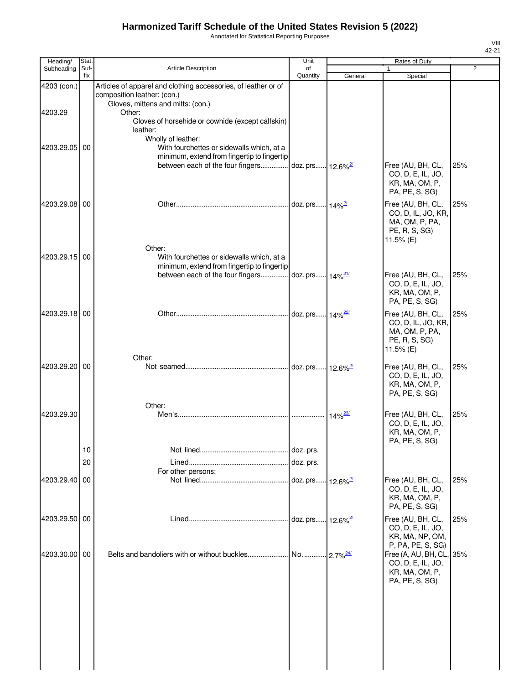Annotated for Statistical Reporting Purposes

| Heading/      | Stat.       |                                                                                                                                    | Unit                         |                       | Rates of Duty                                                                                      |                |
|---------------|-------------|------------------------------------------------------------------------------------------------------------------------------------|------------------------------|-----------------------|----------------------------------------------------------------------------------------------------|----------------|
| Subheading    | Suf-<br>fix | Article Description                                                                                                                | of<br>Quantity               | General               | 1<br>Special                                                                                       | $\overline{2}$ |
| 4203 (con.)   |             | Articles of apparel and clothing accessories, of leather or of<br>composition leather: (con.)<br>Gloves, mittens and mitts: (con.) |                              |                       |                                                                                                    |                |
| 4203.29       |             | Other:<br>Gloves of horsehide or cowhide (except calfskin)<br>leather:                                                             |                              |                       |                                                                                                    |                |
| 4203.29.05    | 00          | Wholly of leather:<br>With fourchettes or sidewalls which, at a<br>minimum, extend from fingertip to fingertip                     |                              |                       |                                                                                                    |                |
|               |             | between each of the four fingers                                                                                                   | doz. prs 12.6% <sup>2/</sup> |                       | Free (AU, BH, CL,<br>CO, D, E, IL, JO,<br>KR, MA, OM, P,<br>PA, PE, S, SG)                         | 25%            |
| 4203.29.08 00 |             |                                                                                                                                    | doz. prs 14% <sup>2/</sup>   |                       | Free (AU, BH, CL,<br>CO, D, IL, JO, KR,<br>MA, OM, P, PA,<br>PE, R, S, SG)<br>11.5% (E)            | 25%            |
| 4203.29.15 00 |             | Other:<br>With fourchettes or sidewalls which, at a<br>minimum, extend from fingertip to fingertip                                 |                              |                       |                                                                                                    |                |
|               |             | between each of the four fingers                                                                                                   | doz. prs 14% <sup>21/</sup>  |                       | Free (AU, BH, CL,<br>CO, D, E, IL, JO,<br>KR, MA, OM, P,<br>PA, PE, S, SG)                         | 25%            |
| 4203.29.18 00 |             |                                                                                                                                    | doz. prs 14% <sup>22/</sup>  |                       | Free (AU, BH, CL,<br>CO, D, IL, JO, KR,<br>MA, OM, P, PA,<br>PE, R, S, SG)<br>11.5% (E)            | 25%            |
| 4203.29.20 00 |             | Other:                                                                                                                             |                              |                       | Free (AU, BH, CL,<br>CO, D, E, IL, JO,<br>KR, MA, OM, P,<br>PA, PE, S, SG)                         | 25%            |
|               |             | Other:                                                                                                                             |                              |                       |                                                                                                    |                |
| 4203.29.30    |             |                                                                                                                                    |                              | $14\%$ <sup>23/</sup> | Free (AU, BH, CL,<br>CO, D, E, IL, JO,<br>KR, MA, OM, P,<br>PA, PE, S, SG)                         | 25%            |
|               | 10          |                                                                                                                                    | doz. prs.                    |                       |                                                                                                    |                |
|               | 20          |                                                                                                                                    |                              |                       |                                                                                                    |                |
| 4203.29.40 00 |             | For other persons:                                                                                                                 |                              |                       | Free (AU, BH, CL,                                                                                  | 25%            |
|               |             |                                                                                                                                    |                              |                       | CO, D, E, IL, JO,<br>KR, MA, OM, P,<br>PA, PE, S, SG)                                              |                |
| 4203.29.50 00 |             |                                                                                                                                    |                              |                       | Free (AU, BH, CL,<br>CO, D, E, IL, JO,<br>KR, MA, NP, OM,                                          | 25%            |
| 4203.30.00    | 00          |                                                                                                                                    |                              |                       | P, PA, PE, S, SG)<br>Free (A, AU, BH, CL,<br>CO, D, E, IL, JO,<br>KR, MA, OM, P,<br>PA, PE, S, SG) | 35%            |
|               |             |                                                                                                                                    |                              |                       |                                                                                                    |                |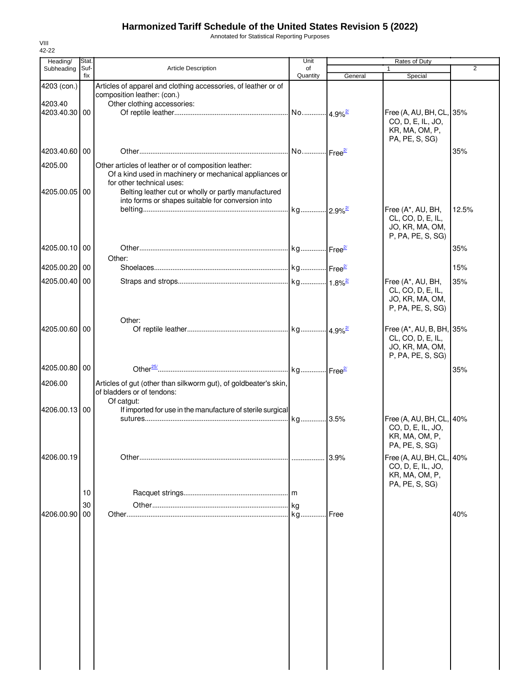Annotated for Statistical Reporting Purposes

| Heading/                 | Stat.       |                                                                                                                                              | Unit           |         | <b>Rates of Duty</b>                                                                  |                |
|--------------------------|-------------|----------------------------------------------------------------------------------------------------------------------------------------------|----------------|---------|---------------------------------------------------------------------------------------|----------------|
| Subheading               | Suf-<br>fix | Article Description                                                                                                                          | of<br>Quantity | General | 1<br>Special                                                                          | $\overline{2}$ |
| 4203 (con.)              |             | Articles of apparel and clothing accessories, of leather or of<br>composition leather: (con.)                                                |                |         |                                                                                       |                |
| 4203.40<br>4203.40.30 00 |             | Other clothing accessories:                                                                                                                  |                |         | Free (A, AU, BH, CL, 35%<br>CO, D, E, IL, JO,<br>KR, MA, OM, P,                       |                |
| 4203.40.60 00            |             |                                                                                                                                              |                |         | PA, PE, S, SG)                                                                        | 35%            |
| 4205.00                  |             | Other articles of leather or of composition leather:<br>Of a kind used in machinery or mechanical appliances or<br>for other technical uses: |                |         |                                                                                       |                |
| 4205.00.05 00            |             | Belting leather cut or wholly or partly manufactured<br>into forms or shapes suitable for conversion into                                    |                |         | Free (A*, AU, BH,<br>CL, CO, D, E, IL,<br>JO, KR, MA, OM,                             | 12.5%          |
| 4205.00.10 00            |             |                                                                                                                                              |                |         | P, PA, PE, S, SG)                                                                     | 35%            |
| 4205.00.20 00            |             | Other:                                                                                                                                       |                |         |                                                                                       | 15%            |
| 4205.00.40 00            |             |                                                                                                                                              |                |         | Free (A*, AU, BH,<br>CL, CO, D, E, IL,<br>JO, KR, MA, OM,<br>P, PA, PE, S, SG)        | 35%            |
| 4205.00.60 00            |             | Other:                                                                                                                                       |                |         | Free (A*, AU, B, BH, 35%<br>CL, CO, D, E, IL,<br>JO, KR, MA, OM,<br>P, PA, PE, S, SG) |                |
| 4205.00.80 00            |             |                                                                                                                                              |                |         |                                                                                       | 35%            |
| 4206.00                  |             | Articles of gut (other than silkworm gut), of goldbeater's skin,<br>of bladders or of tendons:<br>Of catgut:                                 |                |         |                                                                                       |                |
| 4206.00.13 00            |             | If imported for use in the manufacture of sterile surgical                                                                                   |                |         | Free (A, AU, BH, CL, 40%<br>CO, D, E, IL, JO,<br>KR, MA, OM, P,<br>PA, PE, S, SG)     |                |
| 4206.00.19               |             |                                                                                                                                              |                | 3.9%    | Free (A, AU, BH, CL,<br>CO, D, E, IL, JO,<br>KR, MA, OM, P,<br>PA, PE, S, SG)         | 40%            |
|                          | 10          |                                                                                                                                              |                |         |                                                                                       |                |
| 4206.00.90               | 30<br>00    |                                                                                                                                              |                | Free    |                                                                                       | 40%            |
|                          |             |                                                                                                                                              |                |         |                                                                                       |                |
|                          |             |                                                                                                                                              |                |         |                                                                                       |                |
|                          |             |                                                                                                                                              |                |         |                                                                                       |                |
|                          |             |                                                                                                                                              |                |         |                                                                                       |                |
|                          |             |                                                                                                                                              |                |         |                                                                                       |                |
|                          |             |                                                                                                                                              |                |         |                                                                                       |                |